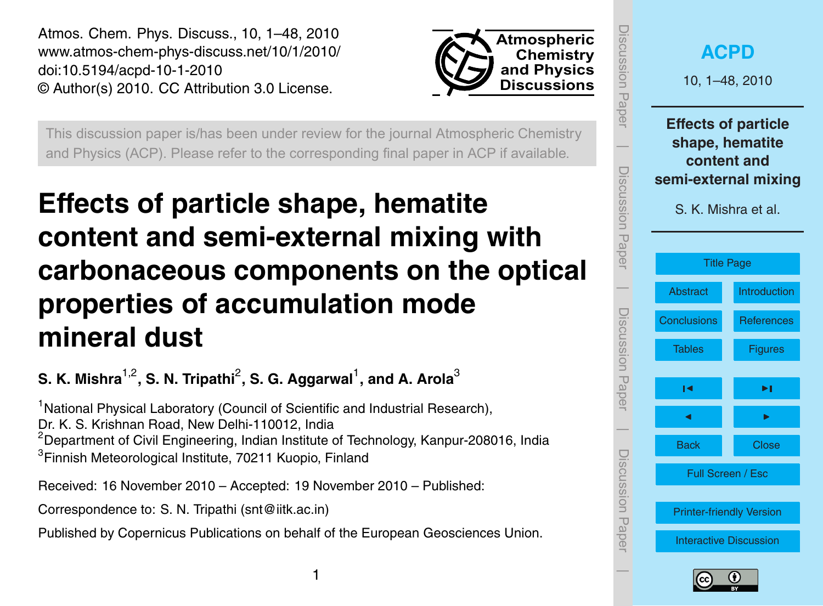<span id="page-0-0"></span>Atmos. Chem. Phys. Discuss., 10, 1–48, 2010 www.atmos-chem-phys-discuss.net/10/1/2010/ doi:10.5194/acpd-10-1-2010 © Author(s) 2010. CC Attribution 3.0 License.



This discussion paper is/has been under review for the journal Atmospheric Chemistry and Physics (ACP). Please refer to the corresponding final paper in ACP if available.

# **Effects of particle shape, hematite content and semi-external mixing with carbonaceous components on the optical properties of accumulation mode mineral dust**

 $\,$  S. K. Mishra $^{1,2}$ , S. N. Tripathi $^{2}$ , S. G. Aggarwal $^{1}$ , and A. Arola $^{3}$ 

<sup>1</sup> National Physical Laboratory (Council of Scientific and Industrial Research), Dr. K. S. Krishnan Road, New Delhi-110012, India <sup>2</sup>Department of Civil Engineering, Indian Institute of Technology, Kanpur-208016, India <sup>3</sup>Finnish Meteorological Institute, 70211 Kuopio, Finland

Received: 16 November 2010 – Accepted: 19 November 2010 – Published:

Correspondence to: S. N. Tripathi (snt@iitk.ac.in)

Published by Copernicus Publications on behalf of the European Geosciences Union.



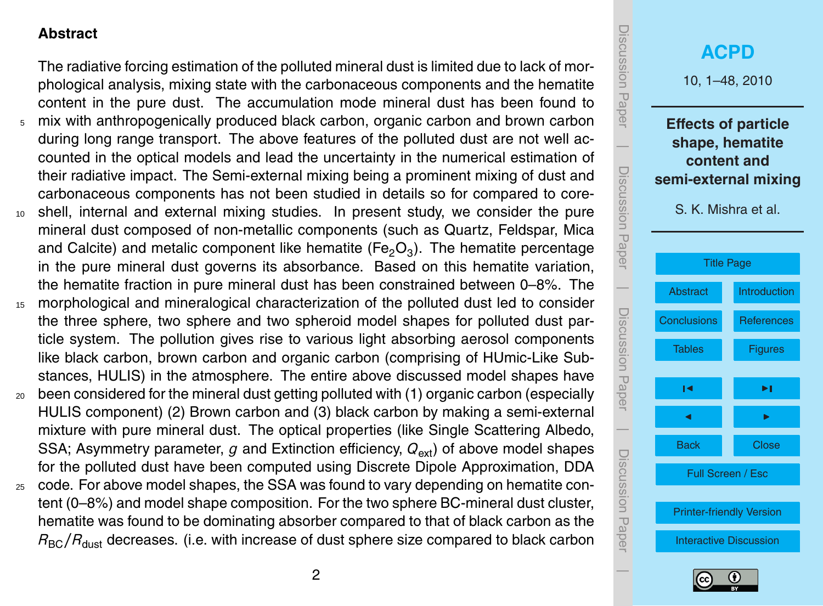## <span id="page-1-0"></span>**Abstract**

The radiative forcing estimation of the polluted mineral dust is limited due to lack of morphological analysis, mixing state with the carbonaceous components and the hematite content in the pure dust. The accumulation mode mineral dust has been found to <sup>5</sup> mix with anthropogenically produced black carbon, organic carbon and brown carbon during long range transport. The above features of the polluted dust are not well accounted in the optical models and lead the uncertainty in the numerical estimation of their radiative impact. The Semi-external mixing being a prominent mixing of dust and carbonaceous components has not been studied in details so for compared to core-<sup>10</sup> shell, internal and external mixing studies. In present study, we consider the pure mineral dust composed of non-metallic components (such as Quartz, Feldspar, Mica and Calcite) and metalic component like hematite (Fe<sub>2</sub>O<sub>3</sub>). The hematite percentage in the pure mineral dust governs its absorbance. Based on this hematite variation, the hematite fraction in pure mineral dust has been constrained between 0–8%. The

- <sup>15</sup> morphological and mineralogical characterization of the polluted dust led to consider the three sphere, two sphere and two spheroid model shapes for polluted dust particle system. The pollution gives rise to various light absorbing aerosol components like black carbon, brown carbon and organic carbon (comprising of HUmic-Like Substances, HULIS) in the atmosphere. The entire above discussed model shapes have
- <sup>20</sup> been considered for the mineral dust getting polluted with (1) organic carbon (especially HULIS component) (2) Brown carbon and (3) black carbon by making a semi-external mixture with pure mineral dust. The optical properties (like Single Scattering Albedo, SSA; Asymmetry parameter, *q* and Extinction efficiency,  $Q_{\text{ext}}$ ) of above model shapes for the polluted dust have been computed using Discrete Dipole Approximation, DDA
- <sup>25</sup> code. For above model shapes, the SSA was found to vary depending on hematite content (0–8%) and model shape composition. For the two sphere BC-mineral dust cluster, hematite was found to be dominating absorber compared to that of black carbon as the  $R_{BC}/R_{dust}$  decreases. (i.e. with increase of dust sphere size compared to black carbon



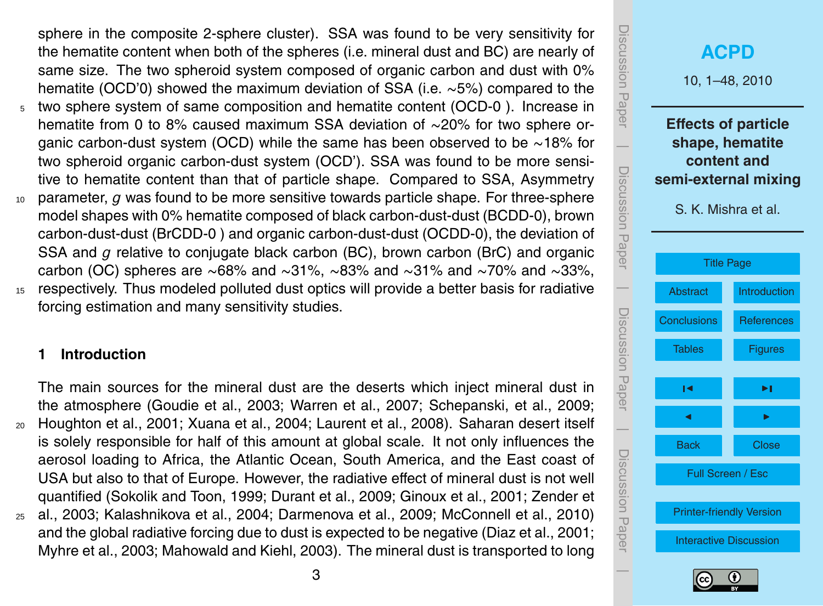<span id="page-2-0"></span>sphere in the composite 2-sphere cluster). SSA was found to be very sensitivity for the hematite content when both of the spheres (i.e. mineral dust and BC) are nearly of same size. The two spheroid system composed of organic carbon and dust with 0% hematite (OCD'0) showed the maximum deviation of SSA (i.e. ∼5%) compared to the

- two sphere system of same composition and hematite content (OCD-0). Increase in hematite from 0 to 8% caused maximum SSA deviation of ∼20% for two sphere organic carbon-dust system (OCD) while the same has been observed to be ∼18% for two spheroid organic carbon-dust system (OCD'). SSA was found to be more sensitive to hematite content than that of particle shape. Compared to SSA, Asymmetry
- <sup>10</sup> parameter, *g* was found to be more sensitive towards particle shape. For three-sphere model shapes with 0% hematite composed of black carbon-dust-dust (BCDD-0), brown carbon-dust-dust (BrCDD-0 ) and organic carbon-dust-dust (OCDD-0), the deviation of SSA and *g* relative to conjugate black carbon (BC), brown carbon (BrC) and organic carbon (OC) spheres are ∼68% and ∼31%, ∼83% and ∼31% and ∼70% and ∼33%, <sup>15</sup> respectively. Thus modeled polluted dust optics will provide a better basis for radiative
- forcing estimation and many sensitivity studies.

## **1 Introduction**

The main sources for the mineral dust are the deserts which inject mineral dust in the atmosphere (Goudie et al., 2003; Warren et al., 2007; Schepanski, et al., 2009; <sup>20</sup> Houghton et al., 2001; Xuana et al., 2004; Laurent et al., 2008). Saharan desert itself is solely responsible for half of this amount at global scale. It not only influences the aerosol loading to Africa, the Atlantic Ocean, South America, and the East coast of USA but also to that of Europe. However, the radiative effect of mineral dust is not well quantified (Sokolik and Toon, 1999; Durant et al., 2009; Ginoux et al., 2001; Zender et <sup>25</sup> al., 2003; Kalashnikova et al., 2004; Darmenova et al., 2009; McConnell et al., 2010)

 Discussion PaperDiscussion Paper and the global radiative forcing due to dust is expected to be negative (Diaz et al., 2001; Myhre et al., 2003; Mahowald and Kiehl, 2003). The mineral dust is transported to long



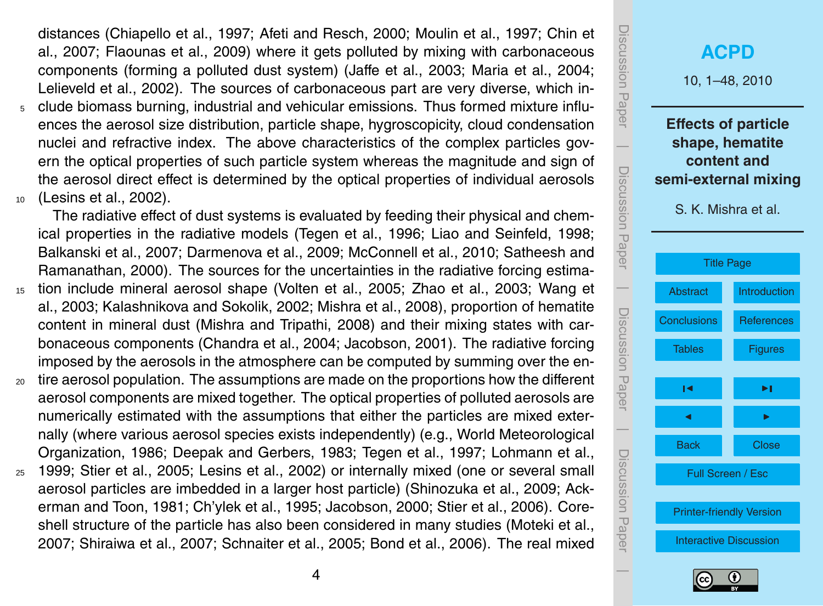distances (Chiapello et al., 1997; Afeti and Resch, 2000; Moulin et al., 1997; Chin et al., 2007; Flaounas et al., 2009) where it gets polluted by mixing with carbonaceous components (forming a polluted dust system) (Jaffe et al., 2003; Maria et al., 2004; Lelieveld et al., 2002). The sources of carbonaceous part are very diverse, which in-<sup>5</sup> clude biomass burning, industrial and vehicular emissions. Thus formed mixture influences the aerosol size distribution, particle shape, hygroscopicity, cloud condensation nuclei and refractive index. The above characteristics of the complex particles gov-

ern the optical properties of such particle system whereas the magnitude and sign of the aerosol direct effect is determined by the optical properties of individual aerosols <sup>10</sup> (Lesins et al., 2002).

The radiative effect of dust systems is evaluated by feeding their physical and chemical properties in the radiative models (Tegen et al., 1996; Liao and Seinfeld, 1998; Balkanski et al., 2007; Darmenova et al., 2009; McConnell et al., 2010; Satheesh and Ramanathan, 2000). The sources for the uncertainties in the radiative forcing estima-

- <sup>15</sup> tion include mineral aerosol shape (Volten et al., 2005; Zhao et al., 2003; Wang et al., 2003; Kalashnikova and Sokolik, 2002; Mishra et al., 2008), proportion of hematite content in mineral dust (Mishra and Tripathi, 2008) and their mixing states with carbonaceous components (Chandra et al., 2004; Jacobson, 2001). The radiative forcing imposed by the aerosols in the atmosphere can be computed by summing over the en-
- <sup>20</sup> tire aerosol population. The assumptions are made on the proportions how the different aerosol components are mixed together. The optical properties of polluted aerosols are numerically estimated with the assumptions that either the particles are mixed externally (where various aerosol species exists independently) (e.g., World Meteorological Organization, 1986; Deepak and Gerbers, 1983; Tegen et al., 1997; Lohmann et al.,
- <sup>25</sup> 1999; Stier et al., 2005; Lesins et al., 2002) or internally mixed (one or several small aerosol particles are imbedded in a larger host particle) (Shinozuka et al., 2009; Ackerman and Toon, 1981; Ch'ylek et al., 1995; Jacobson, 2000; Stier et al., 2006). Coreshell structure of the particle has also been considered in many studies (Moteki et al., 2007; Shiraiwa et al., 2007; Schnaiter et al., 2005; Bond et al., 2006). The real mixed



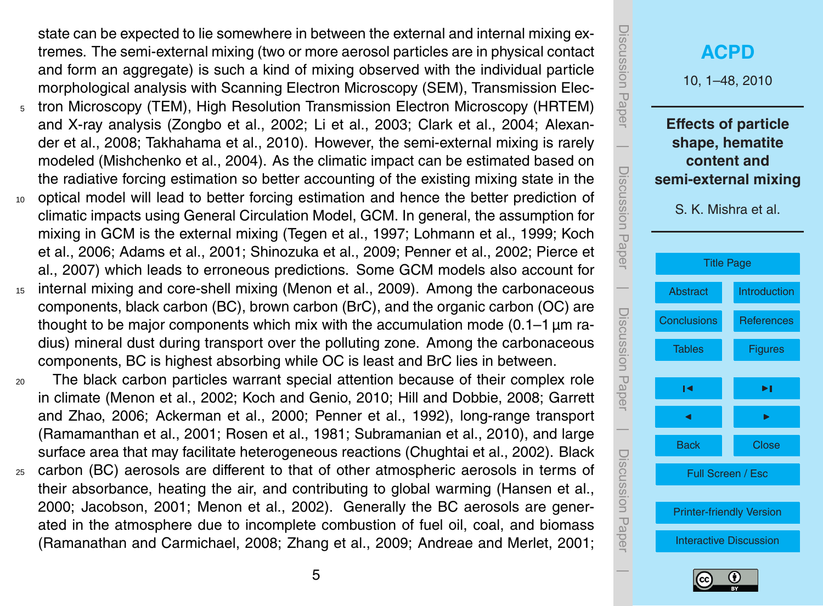state can be expected to lie somewhere in between the external and internal mixing extremes. The semi-external mixing (two or more aerosol particles are in physical contact and form an aggregate) is such a kind of mixing observed with the individual particle morphological analysis with Scanning Electron Microscopy (SEM), Transmission Elec-

- tron Microscopy (TEM), High Resolution Transmission Electron Microscopy (HRTEM) and X-ray analysis (Zongbo et al., 2002; Li et al., 2003; Clark et al., 2004; Alexander et al., 2008; Takhahama et al., 2010). However, the semi-external mixing is rarely modeled (Mishchenko et al., 2004). As the climatic impact can be estimated based on the radiative forcing estimation so better accounting of the existing mixing state in the
- <sup>10</sup> optical model will lead to better forcing estimation and hence the better prediction of climatic impacts using General Circulation Model, GCM. In general, the assumption for mixing in GCM is the external mixing (Tegen et al., 1997; Lohmann et al., 1999; Koch et al., 2006; Adams et al., 2001; Shinozuka et al., 2009; Penner et al., 2002; Pierce et al., 2007) which leads to erroneous predictions. Some GCM models also account for
- <sup>15</sup> internal mixing and core-shell mixing (Menon et al., 2009). Among the carbonaceous components, black carbon (BC), brown carbon (BrC), and the organic carbon (OC) are thought to be major components which mix with the accumulation mode (0.1–1 µm radius) mineral dust during transport over the polluting zone. Among the carbonaceous components, BC is highest absorbing while OC is least and BrC lies in between.
- <sup>20</sup> The black carbon particles warrant special attention because of their complex role in climate (Menon et al., 2002; Koch and Genio, 2010; Hill and Dobbie, 2008; Garrett and Zhao, 2006; Ackerman et al., 2000; Penner et al., 1992), long-range transport (Ramamanthan et al., 2001; Rosen et al., 1981; Subramanian et al., 2010), and large surface area that may facilitate heterogeneous reactions (Chughtai et al., 2002). Black
- <sup>25</sup> carbon (BC) aerosols are different to that of other atmospheric aerosols in terms of their absorbance, heating the air, and contributing to global warming (Hansen et al., 2000; Jacobson, 2001; Menon et al., 2002). Generally the BC aerosols are generated in the atmosphere due to incomplete combustion of fuel oil, coal, and biomass (Ramanathan and Carmichael, 2008; Zhang et al., 2009; Andreae and Merlet, 2001;



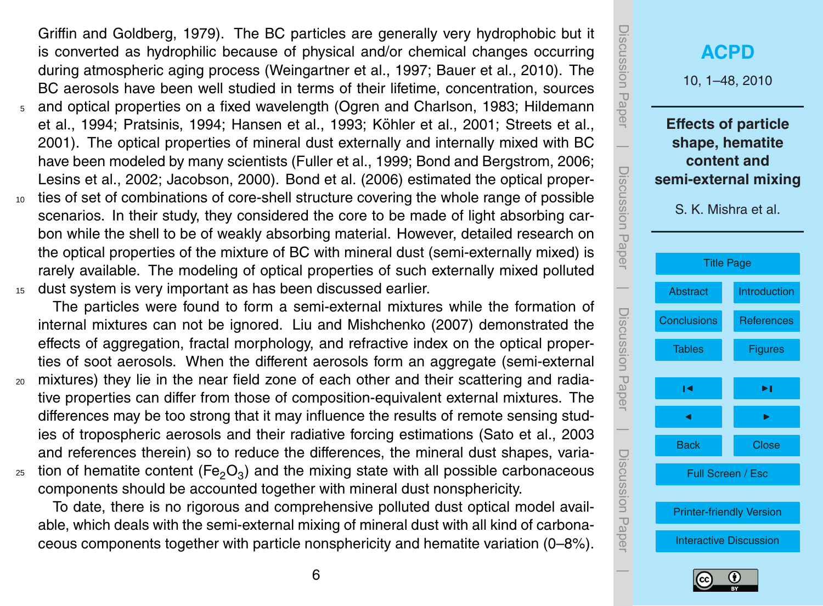Griffin and Goldberg, 1979). The BC particles are generally very hydrophobic but it is converted as hydrophilic because of physical and/or chemical changes occurring during atmospheric aging process (Weingartner et al., 1997; Bauer et al., 2010). The BC aerosols have been well studied in terms of their lifetime, concentration, sources <sup>5</sup> and optical properties on a fixed wavelength (Ogren and Charlson, 1983; Hildemann

- et al., 1994; Pratsinis, 1994; Hansen et al., 1993; Köhler et al., 2001; Streets et al., 2001). The optical properties of mineral dust externally and internally mixed with BC have been modeled by many scientists (Fuller et al., 1999; Bond and Bergstrom, 2006; Lesins et al., 2002; Jacobson, 2000). Bond et al. (2006) estimated the optical proper-
- <sup>10</sup> ties of set of combinations of core-shell structure covering the whole range of possible scenarios. In their study, they considered the core to be made of light absorbing carbon while the shell to be of weakly absorbing material. However, detailed research on the optical properties of the mixture of BC with mineral dust (semi-externally mixed) is rarely available. The modeling of optical properties of such externally mixed polluted <sup>15</sup> dust system is very important as has been discussed earlier.

The particles were found to form a semi-external mixtures while the formation of internal mixtures can not be ignored. Liu and Mishchenko (2007) demonstrated the effects of aggregation, fractal morphology, and refractive index on the optical properties of soot aerosols. When the different aerosols form an aggregate (semi-external <sup>20</sup> mixtures) they lie in the near field zone of each other and their scattering and radiative properties can differ from those of composition-equivalent external mixtures. The differences may be too strong that it may influence the results of remote sensing studies of tropospheric aerosols and their radiative forcing estimations (Sato et al., 2003 and references therein) so to reduce the differences, the mineral dust shapes, varia- $_{\rm z5}$  tion of hematite content (Fe<sub>2</sub>O<sub>3</sub>) and the mixing state with all possible carbonaceous components should be accounted together with mineral dust nonsphericity.

To date, there is no rigorous and comprehensive polluted dust optical model available, which deals with the semi-external mixing of mineral dust with all kind of carbonaceous components together with particle nonsphericity and hematite variation (0–8%).



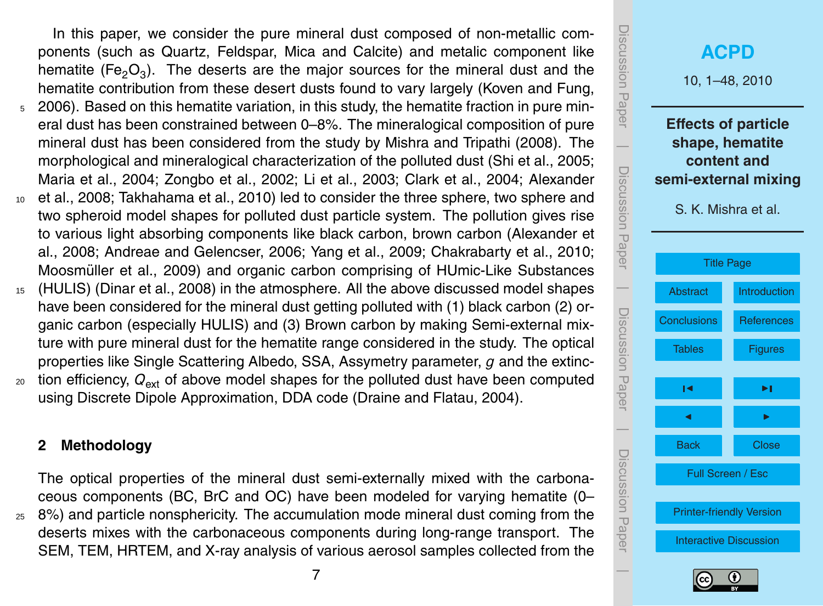In this paper, we consider the pure mineral dust composed of non-metallic components (such as Quartz, Feldspar, Mica and Calcite) and metalic component like hematite (Fe<sub>2</sub>O<sub>3</sub>). The deserts are the major sources for the mineral dust and the hematite contribution from these desert dusts found to vary largely (Koven and Fung, <sup>5</sup> 2006). Based on this hematite variation, in this study, the hematite fraction in pure mineral dust has been constrained between 0–8%. The mineralogical composition of pure mineral dust has been considered from the study by Mishra and Tripathi (2008). The morphological and mineralogical characterization of the polluted dust (Shi et al., 2005; Maria et al., 2004; Zongbo et al., 2002; Li et al., 2003; Clark et al., 2004; Alexander <sup>10</sup> et al., 2008; Takhahama et al., 2010) led to consider the three sphere, two sphere and two spheroid model shapes for polluted dust particle system. The pollution gives rise to various light absorbing components like black carbon, brown carbon (Alexander et al., 2008; Andreae and Gelencser, 2006; Yang et al., 2009; Chakrabarty et al., 2010;

Moosmüller et al., 2009) and organic carbon comprising of HUmic-Like Substances <sup>15</sup> (HULIS) (Dinar et al., 2008) in the atmosphere. All the above discussed model shapes have been considered for the mineral dust getting polluted with (1) black carbon (2) organic carbon (especially HULIS) and (3) Brown carbon by making Semi-external mixture with pure mineral dust for the hematite range considered in the study. The optical properties like Single Scattering Albedo, SSA, Assymetry parameter, *g* and the extinc- $20$  tion efficiency,  $Q_{\text{ext}}$  of above model shapes for the polluted dust have been computed using Discrete Dipole Approximation, DDA code (Draine and Flatau, 2004).

#### **2 Methodology**

The optical properties of the mineral dust semi-externally mixed with the carbonaceous components (BC, BrC and OC) have been modeled for varying hematite (0–  $25\,$  8%) and particle nonsphericity. The accumulation mode mineral dust coming from the deserts mixes with the carbonaceous components during long-range transport. The SEM, TEM, HRTEM, and X-ray analysis of various aerosol samples collected from the



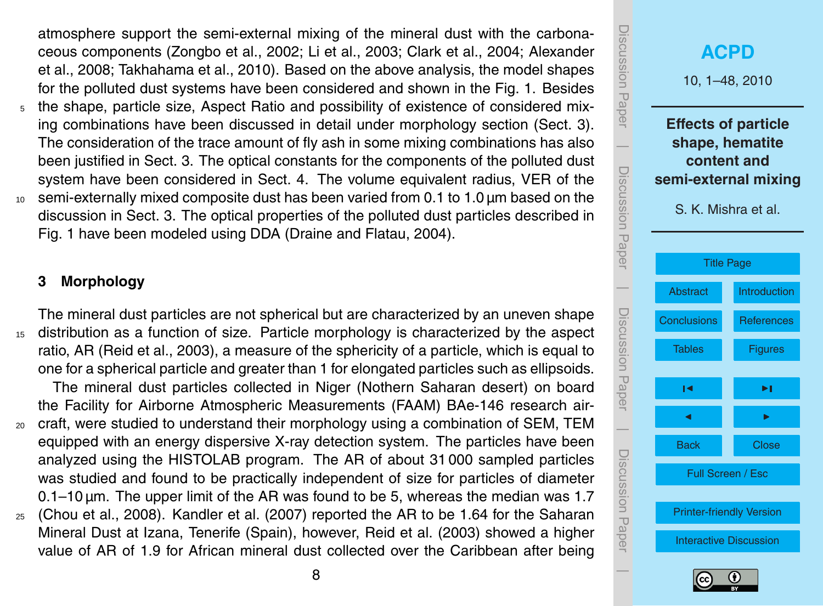atmosphere support the semi-external mixing of the mineral dust with the carbonaceous components (Zongbo et al., 2002; Li et al., 2003; Clark et al., 2004; Alexander et al., 2008; Takhahama et al., 2010). Based on the above analysis, the model shapes for the polluted dust systems have been considered and shown in the Fig. 1. Besides

- <sup>5</sup> the shape, particle size, Aspect Ratio and possibility of existence of considered mixing combinations have been discussed in detail under morphology section (Sect. 3). The consideration of the trace amount of fly ash in some mixing combinations has also been justified in Sect. 3. The optical constants for the components of the polluted dust system have been considered in Sect. 4. The volume equivalent radius, VER of the <sup>10</sup> semi-externally mixed composite dust has been varied from 0.1 to 1.0 µm based on the
- discussion in Sect. 3. The optical properties of the polluted dust particles described in Fig. 1 have been modeled using DDA (Draine and Flatau, 2004).

#### **3 Morphology**

The mineral dust particles are not spherical but are characterized by an uneven shape <sup>15</sup> distribution as a function of size. Particle morphology is characterized by the aspect ratio, AR (Reid et al., 2003), a measure of the sphericity of a particle, which is equal to one for a spherical particle and greater than 1 for elongated particles such as ellipsoids. The mineral dust particles collected in Niger (Nothern Saharan desert) on board the Facility for Airborne Atmospheric Measurements (FAAM) BAe-146 research air-<sup>20</sup> craft, were studied to understand their morphology using a combination of SEM, TEM equipped with an energy dispersive X-ray detection system. The particles have been analyzed using the HISTOLAB program. The AR of about 31 000 sampled particles was studied and found to be practically independent of size for particles of diameter  $0.1-10 \,\mu m$ . The upper limit of the AR was found to be 5, whereas the median was 1.7 <sup>25</sup> (Chou et al., 2008). Kandler et al. (2007) reported the AR to be 1.64 for the Saharan

Mineral Dust at Izana, Tenerife (Spain), however, Reid et al. (2003) showed a higher value of AR of 1.9 for African mineral dust collected over the Caribbean after being



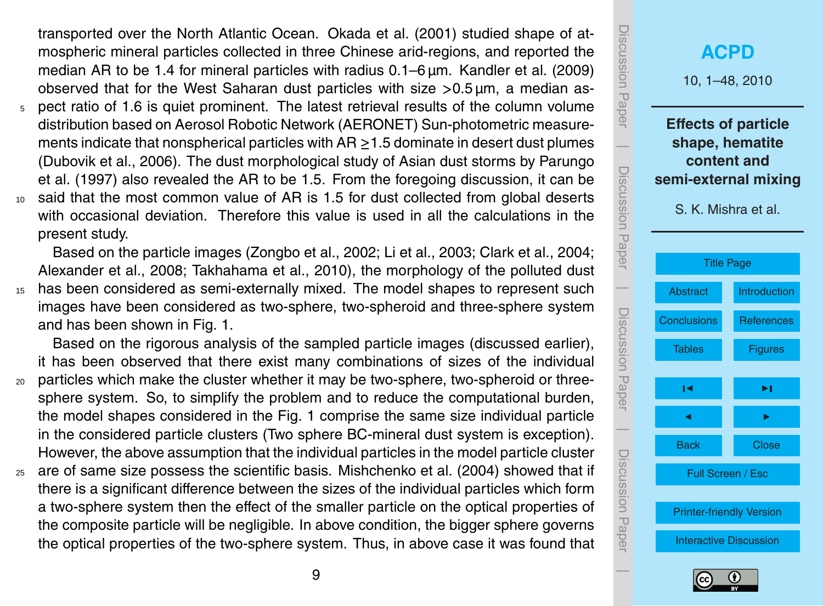transported over the North Atlantic Ocean. Okada et al. (2001) studied shape of atmospheric mineral particles collected in three Chinese arid-regions, and reported the median AR to be 1.4 for mineral particles with radius 0.1–6 µm. Kandler et al. (2009) observed that for the West Saharan dust particles with size *>*0.5 µm, a median as-

- <sup>5</sup> pect ratio of 1.6 is quiet prominent. The latest retrieval results of the column volume distribution based on Aerosol Robotic Network (AERONET) Sun-photometric measurements indicate that nonspherical particles with  $AR \geq 1.5$  dominate in desert dust plumes (Dubovik et al., 2006). The dust morphological study of Asian dust storms by Parungo et al. (1997) also revealed the AR to be 1.5. From the foregoing discussion, it can be <sup>10</sup> said that the most common value of AR is 1.5 for dust collected from global deserts
- with occasional deviation. Therefore this value is used in all the calculations in the present study.

Based on the particle images (Zongbo et al., 2002; Li et al., 2003; Clark et al., 2004; Alexander et al., 2008; Takhahama et al., 2010), the morphology of the polluted dust <sup>15</sup> has been considered as semi-externally mixed. The model shapes to represent such images have been considered as two-sphere, two-spheroid and three-sphere system and has been shown in Fig. 1.

Based on the rigorous analysis of the sampled particle images (discussed earlier), it has been observed that there exist many combinations of sizes of the individual <sub>20</sub> particles which make the cluster whether it may be two-sphere, two-spheroid or three-

- sphere system. So, to simplify the problem and to reduce the computational burden, the model shapes considered in the Fig. 1 comprise the same size individual particle in the considered particle clusters (Two sphere BC-mineral dust system is exception). However, the above assumption that the individual particles in the model particle cluster
- <sup>25</sup> are of same size possess the scientific basis. Mishchenko et al. (2004) showed that if there is a significant difference between the sizes of the individual particles which form a two-sphere system then the effect of the smaller particle on the optical properties of the composite particle will be negligible. In above condition, the bigger sphere governs the optical properties of the two-sphere system. Thus, in above case it was found that



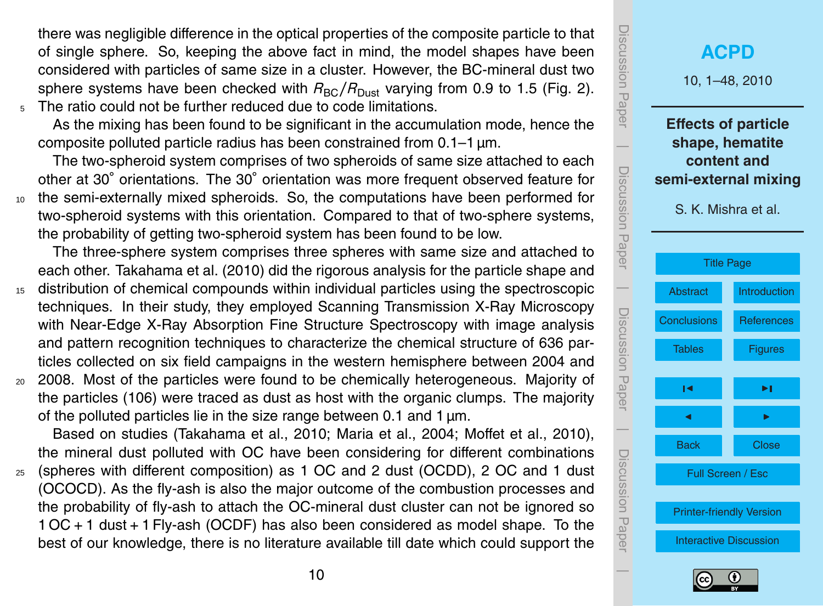there was negligible difference in the optical properties of the composite particle to that of single sphere. So, keeping the above fact in mind, the model shapes have been considered with particles of same size in a cluster. However, the BC-mineral dust two sphere systems have been checked with  $R_{BC}/R_{Dust}$  varying from 0.9 to 1.5 (Fig. 2). <sup>5</sup> The ratio could not be further reduced due to code limitations.

As the mixing has been found to be significant in the accumulation mode, hence the composite polluted particle radius has been constrained from 0.1–1 µm.

The two-spheroid system comprises of two spheroids of same size attached to each other at 30° orientations. The 30° orientation was more frequent observed feature for <sup>10</sup> the semi-externally mixed spheroids. So, the computations have been performed for two-spheroid systems with this orientation. Compared to that of two-sphere systems, the probability of getting two-spheroid system has been found to be low.

The three-sphere system comprises three spheres with same size and attached to each other. Takahama et al. (2010) did the rigorous analysis for the particle shape and

- <sup>15</sup> distribution of chemical compounds within individual particles using the spectroscopic techniques. In their study, they employed Scanning Transmission X-Ray Microscopy with Near-Edge X-Ray Absorption Fine Structure Spectroscopy with image analysis and pattern recognition techniques to characterize the chemical structure of 636 particles collected on six field campaigns in the western hemisphere between 2004 and
- <sup>20</sup> 2008. Most of the particles were found to be chemically heterogeneous. Majority of the particles (106) were traced as dust as host with the organic clumps. The majority of the polluted particles lie in the size range between 0.1 and 1  $\mu$ m.

Based on studies (Takahama et al., 2010; Maria et al., 2004; Moffet et al., 2010), the mineral dust polluted with OC have been considering for different combinations

<sup>25</sup> (spheres with different composition) as 1 OC and 2 dust (OCDD), 2 OC and 1 dust (OCOCD). As the fly-ash is also the major outcome of the combustion processes and the probability of fly-ash to attach the OC-mineral dust cluster can not be ignored so 1 OC + 1 dust + 1 Fly-ash (OCDF) has also been considered as model shape. To the best of our knowledge, there is no literature available till date which could support the



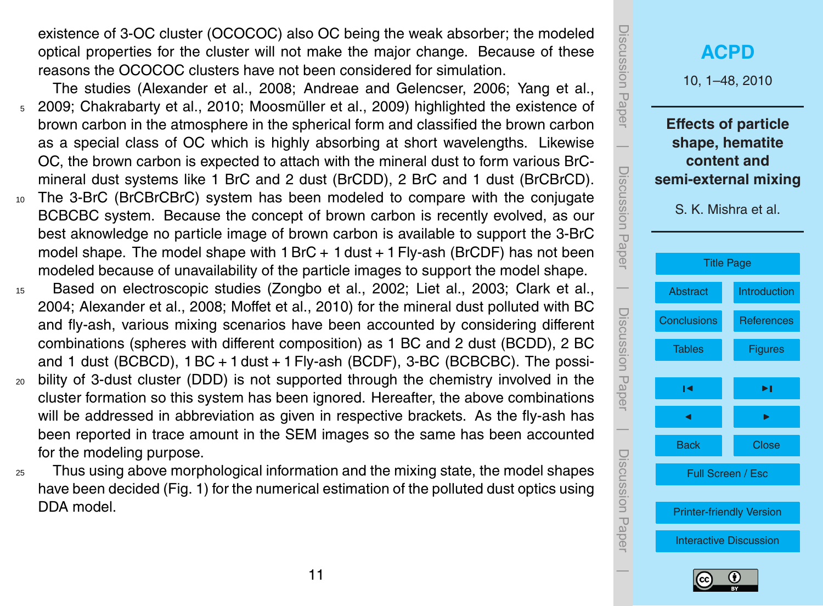existence of 3-OC cluster (OCOCOC) also OC being the weak absorber; the modeled optical properties for the cluster will not make the major change. Because of these reasons the OCOCOC clusters have not been considered for simulation.

- The studies (Alexander et al., 2008; Andreae and Gelencser, 2006; Yang et al., 5 2009; Chakrabarty et al., 2010; Moosmüller et al., 2009) highlighted the existence of brown carbon in the atmosphere in the spherical form and classified the brown carbon as a special class of OC which is highly absorbing at short wavelengths. Likewise OC, the brown carbon is expected to attach with the mineral dust to form various BrCmineral dust systems like 1 BrC and 2 dust (BrCDD), 2 BrC and 1 dust (BrCBrCD).
- <sup>10</sup> The 3-BrC (BrCBrCBrC) system has been modeled to compare with the conjugate BCBCBC system. Because the concept of brown carbon is recently evolved, as our best aknowledge no particle image of brown carbon is available to support the 3-BrC model shape. The model shape with  $1 BFC + 1$  dust  $+ 1 F$ ly-ash (BrCDF) has not been modeled because of unavailability of the particle images to support the model shape.
- <sup>15</sup> Based on electroscopic studies (Zongbo et al., 2002; Liet al., 2003; Clark et al., 2004; Alexander et al., 2008; Moffet et al., 2010) for the mineral dust polluted with BC and fly-ash, various mixing scenarios have been accounted by considering different combinations (spheres with different composition) as 1 BC and 2 dust (BCDD), 2 BC and 1 dust (BCBCD), 1 BC + 1 dust + 1 Fly-ash (BCDF), 3-BC (BCBCBC). The possi-<sup>20</sup> bility of 3-dust cluster (DDD) is not supported through the chemistry involved in the
- cluster formation so this system has been ignored. Hereafter, the above combinations will be addressed in abbreviation as given in respective brackets. As the fly-ash has been reported in trace amount in the SEM images so the same has been accounted for the modeling purpose.
- <sup>25</sup> Thus using above morphological information and the mixing state, the model shapes have been decided (Fig. 1) for the numerical estimation of the polluted dust optics using DDA model.



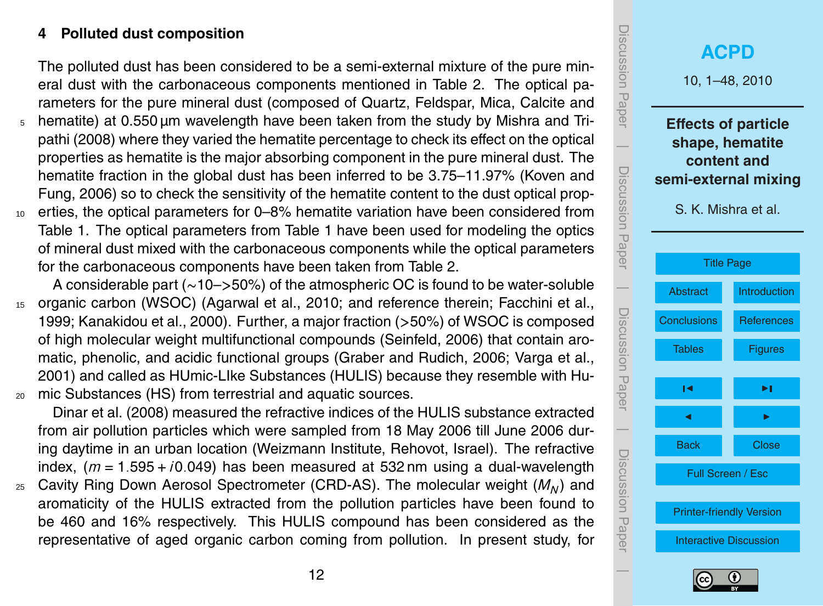## **4 Polluted dust composition**

The polluted dust has been considered to be a semi-external mixture of the pure mineral dust with the carbonaceous components mentioned in Table 2. The optical parameters for the pure mineral dust (composed of Quartz, Feldspar, Mica, Calcite and

- hematite) at 0.550 µm wavelength have been taken from the study by Mishra and Tripathi (2008) where they varied the hematite percentage to check its effect on the optical properties as hematite is the major absorbing component in the pure mineral dust. The hematite fraction in the global dust has been inferred to be 3.75–11.97% (Koven and Fung, 2006) so to check the sensitivity of the hematite content to the dust optical prop-
- <sup>10</sup> erties, the optical parameters for 0–8% hematite variation have been considered from Table 1. The optical parameters from Table 1 have been used for modeling the optics of mineral dust mixed with the carbonaceous components while the optical parameters for the carbonaceous components have been taken from Table 2.

A considerable part (∼10–*>*50%) of the atmospheric OC is found to be water-soluble <sup>15</sup> organic carbon (WSOC) (Agarwal et al., 2010; and reference therein; Facchini et al., 1999; Kanakidou et al., 2000). Further, a major fraction (*>*50%) of WSOC is composed of high molecular weight multifunctional compounds (Seinfeld, 2006) that contain aromatic, phenolic, and acidic functional groups (Graber and Rudich, 2006; Varga et al., 2001) and called as HUmic-LIke Substances (HULIS) because they resemble with Hu-<sup>20</sup> mic Substances (HS) from terrestrial and aquatic sources.

Dinar et al. (2008) measured the refractive indices of the HULIS substance extracted from air pollution particles which were sampled from 18 May 2006 till June 2006 during daytime in an urban location (Weizmann Institute, Rehovot, Israel). The refractive index, (*m* = 1*.*595 + *i*0*.*049) has been measured at 532 nm using a dual-wavelength

25 Cavity Ring Down Aerosol Spectrometer (CRD-AS). The molecular weight  $(M_N)$  and aromaticity of the HULIS extracted from the pollution particles have been found to be 460 and 16% respectively. This HULIS compound has been considered as the representative of aged organic carbon coming from pollution. In present study, for



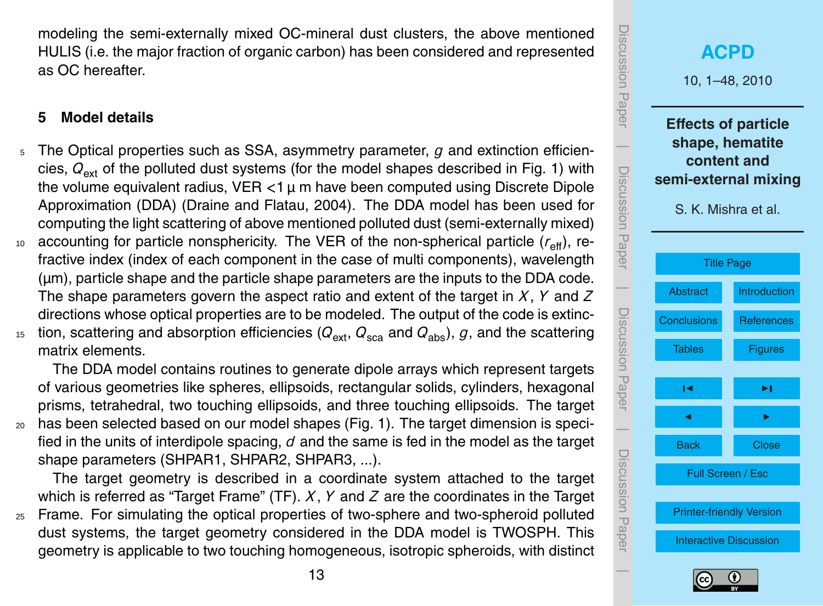modeling the semi-externally mixed OC-mineral dust clusters, the above mentioned HULIS (i.e. the major fraction of organic carbon) has been considered and represented as OC hereafter.

#### **5 Model details**

- <sup>5</sup> The Optical properties such as SSA, asymmetry parameter, *g* and extinction efficiencies,  $Q_{\text{ext}}$  of the polluted dust systems (for the model shapes described in Fig. 1) with the volume equivalent radius, VER *<*1 µ m have been computed using Discrete Dipole Approximation (DDA) (Draine and Flatau, 2004). The DDA model has been used for computing the light scattering of above mentioned polluted dust (semi-externally mixed)
- <sup>10</sup> accounting for particle nonsphericity. The VER of the non-spherical particle ( $r_{\text{eff}}$ ), refractive index (index of each component in the case of multi components), wavelength (µm), particle shape and the particle shape parameters are the inputs to the DDA code. The shape parameters govern the aspect ratio and extent of the target in *X*, *Y* and *Z* directions whose optical properties are to be modeled. The output of the code is extinc-
- 15 tion, scattering and absorption efficiencies ( $Q_{ext}$ ,  $Q_{sca}$  and  $Q_{abs}$ ),  $g$ , and the scattering matrix elements.

The DDA model contains routines to generate dipole arrays which represent targets of various geometries like spheres, ellipsoids, rectangular solids, cylinders, hexagonal prisms, tetrahedral, two touching ellipsoids, and three touching ellipsoids. The target <sup>20</sup> has been selected based on our model shapes (Fig. 1). The target dimension is specified in the units of interdipole spacing, *d* and the same is fed in the model as the target

shape parameters (SHPAR1, SHPAR2, SHPAR3, ...).

The target geometry is described in a coordinate system attached to the target which is referred as "Target Frame" (TF). *X*, *Y* and *Z* are the coordinates in the Target

<sup>25</sup> Frame. For simulating the optical properties of two-sphere and two-spheroid polluted dust systems, the target geometry considered in the DDA model is TWOSPH. This geometry is applicable to two touching homogeneous, isotropic spheroids, with distinct



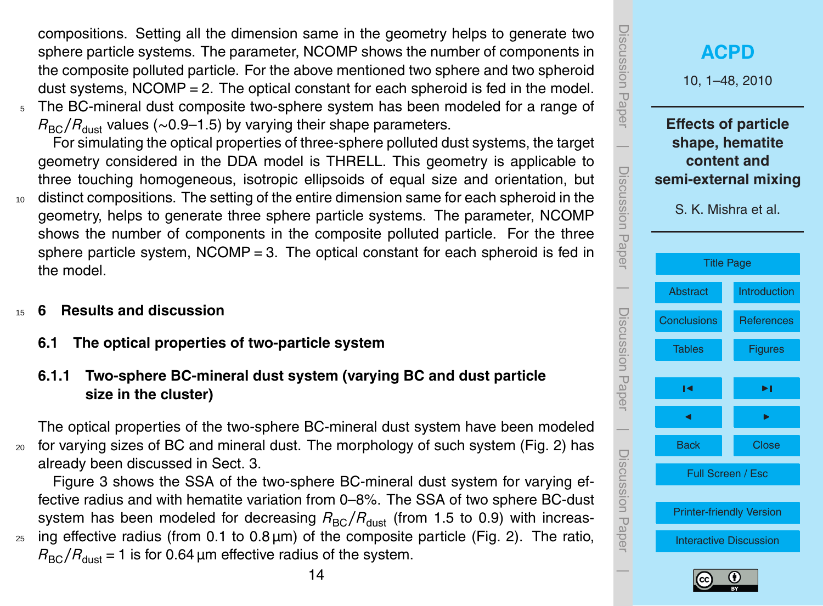compositions. Setting all the dimension same in the geometry helps to generate two sphere particle systems. The parameter, NCOMP shows the number of components in the composite polluted particle. For the above mentioned two sphere and two spheroid dust systems, NCOMP  $= 2$ . The optical constant for each spheroid is fed in the model.

<sup>5</sup> The BC-mineral dust composite two-sphere system has been modeled for a range of  $R_{BC}/R_{dust}$  values (~0.9–1.5) by varying their shape parameters.

For simulating the optical properties of three-sphere polluted dust systems, the target geometry considered in the DDA model is THRELL. This geometry is applicable to three touching homogeneous, isotropic ellipsoids of equal size and orientation, but

- <sup>10</sup> distinct compositions. The setting of the entire dimension same for each spheroid in the geometry, helps to generate three sphere particle systems. The parameter, NCOMP shows the number of components in the composite polluted particle. For the three sphere particle system,  $NCOMP = 3$ . The optical constant for each spheroid is fed in the model.
- <sup>15</sup> **6 Results and discussion**
	- **6.1 The optical properties of two-particle system**

# **6.1.1 Two-sphere BC-mineral dust system (varying BC and dust particle size in the cluster)**

The optical properties of the two-sphere BC-mineral dust system have been modeled <sup>20</sup> for varying sizes of BC and mineral dust. The morphology of such system (Fig. 2) has already been discussed in Sect. 3.

Figure 3 shows the SSA of the two-sphere BC-mineral dust system for varying effective radius and with hematite variation from 0–8%. The SSA of two sphere BC-dust system has been modeled for decreasing  $R_{BC}/R_{dust}$  (from 1.5 to 0.9) with increas- $25$  ing effective radius (from 0.1 to 0.8  $\mu$ m) of the composite particle (Fig. 2). The ratio,  $R_{BC}/R_{dust}$  = 1 is for 0.64 µm effective radius of the system.



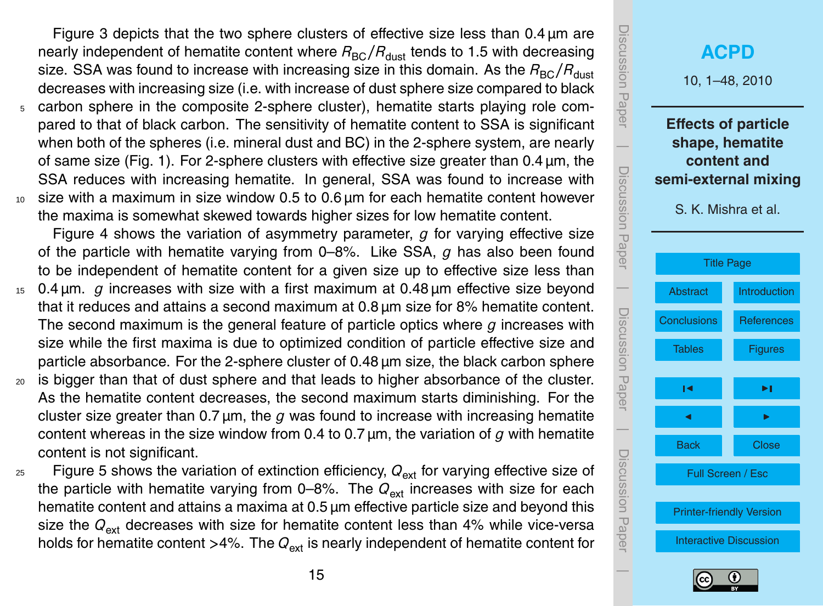Figure 3 depicts that the two sphere clusters of effective size less than 0.4 µm are nearly independent of hematite content where  $R_{BC}/R_{dust}$  tends to 1.5 with decreasing size. SSA was found to increase with increasing size in this domain. As the  $R_{BC}/R_{dust}$ decreases with increasing size (i.e. with increase of dust sphere size compared to black <sup>5</sup> carbon sphere in the composite 2-sphere cluster), hematite starts playing role compared to that of black carbon. The sensitivity of hematite content to SSA is significant when both of the spheres (i.e. mineral dust and BC) in the 2-sphere system, are nearly of same size (Fig. 1). For 2-sphere clusters with effective size greater than  $0.4 \mu m$ , the SSA reduces with increasing hematite. In general, SSA was found to increase with <sup>10</sup> size with a maximum in size window 0.5 to 0.6 µm for each hematite content however the maxima is somewhat skewed towards higher sizes for low hematite content.

Figure 4 shows the variation of asymmetry parameter, *g* for varying effective size of the particle with hematite varying from 0–8%. Like SSA, *g* has also been found to be independent of hematite content for a given size up to effective size less than

- <sup>15</sup> 0.4 µm. *g* increases with size with a first maximum at 0.48 µm effective size beyond that it reduces and attains a second maximum at 0.8 µm size for 8% hematite content. The second maximum is the general feature of particle optics where *g* increases with size while the first maxima is due to optimized condition of particle effective size and particle absorbance. For the 2-sphere cluster of 0.48 µm size, the black carbon sphere
- <sup>20</sup> is bigger than that of dust sphere and that leads to higher absorbance of the cluster. As the hematite content decreases, the second maximum starts diminishing. For the cluster size greater than  $0.7 \mu m$ , the  $q$  was found to increase with increasing hematite content whereas in the size window from 0.4 to 0.7 µm, the variation of *g* with hematite content is not significant.
- $_{25}$  Figure 5 shows the variation of extinction efficiency,  $Q_{\text{ext}}$  for varying effective size of the particle with hematite varying from  $0-8\%$ . The  $Q_{\text{ext}}$  increases with size for each hematite content and attains a maxima at 0.5  $\mu$ m effective particle size and beyond this size the  $Q_{\text{ext}}$  decreases with size for hematite content less than 4% while vice-versa holds for hematite content  $>4\%$ . The  $Q_{ext}$  is nearly independent of hematite content for



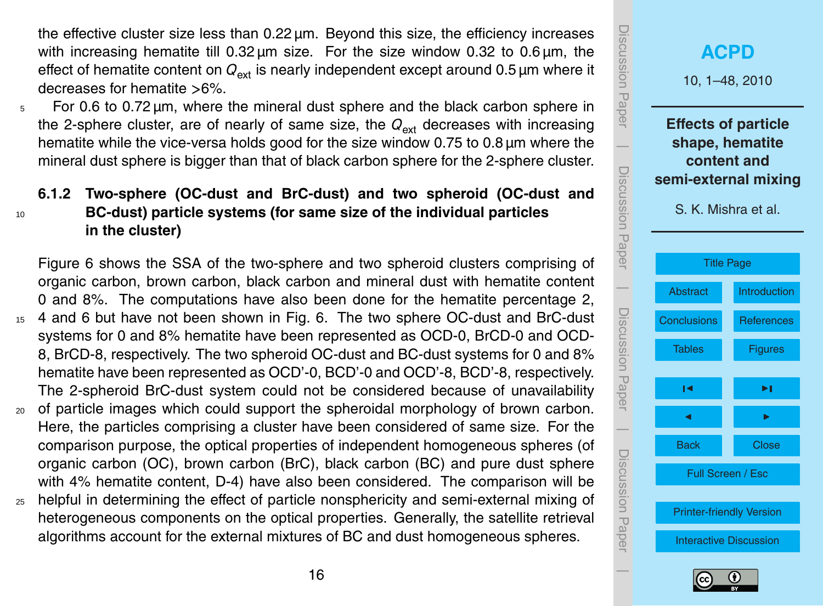the effective cluster size less than 0.22 µm. Beyond this size, the efficiency increases with increasing hematite till  $0.32 \mu m$  size. For the size window  $0.32$  to  $0.6 \mu m$ , the effect of hematite content on  $Q_{\text{ext}}$  is nearly independent except around 0.5  $\mu$ m where it decreases for hematite *>*6%.

 $5$  For 0.6 to 0.72 µm, where the mineral dust sphere and the black carbon sphere in the 2-sphere cluster, are of nearly of same size, the  $Q_{\text{ext}}$  decreases with increasing hematite while the vice-versa holds good for the size window 0.75 to 0.8 µm where the mineral dust sphere is bigger than that of black carbon sphere for the 2-sphere cluster.

# **6.1.2 Two-sphere (OC-dust and BrC-dust) and two spheroid (OC-dust and** <sup>10</sup> **BC-dust) particle systems (for same size of the individual particles in the cluster)**

Figure 6 shows the SSA of the two-sphere and two spheroid clusters comprising of organic carbon, brown carbon, black carbon and mineral dust with hematite content 0 and 8%. The computations have also been done for the hematite percentage 2, <sup>15</sup> 4 and 6 but have not been shown in Fig. 6. The two sphere OC-dust and BrC-dust systems for 0 and 8% hematite have been represented as OCD-0, BrCD-0 and OCD-8, BrCD-8, respectively. The two spheroid OC-dust and BC-dust systems for 0 and 8% hematite have been represented as OCD'-0, BCD'-0 and OCD'-8, BCD'-8, respectively. The 2-spheroid BrC-dust system could not be considered because of unavailability

- <sup>20</sup> of particle images which could support the spheroidal morphology of brown carbon. Here, the particles comprising a cluster have been considered of same size. For the comparison purpose, the optical properties of independent homogeneous spheres (of organic carbon (OC), brown carbon (BrC), black carbon (BC) and pure dust sphere with 4% hematite content, D-4) have also been considered. The comparison will be <sup>25</sup> helpful in determining the effect of particle nonsphericity and semi-external mixing of
- heterogeneous components on the optical properties. Generally, the satellite retrieval algorithms account for the external mixtures of BC and dust homogeneous spheres.



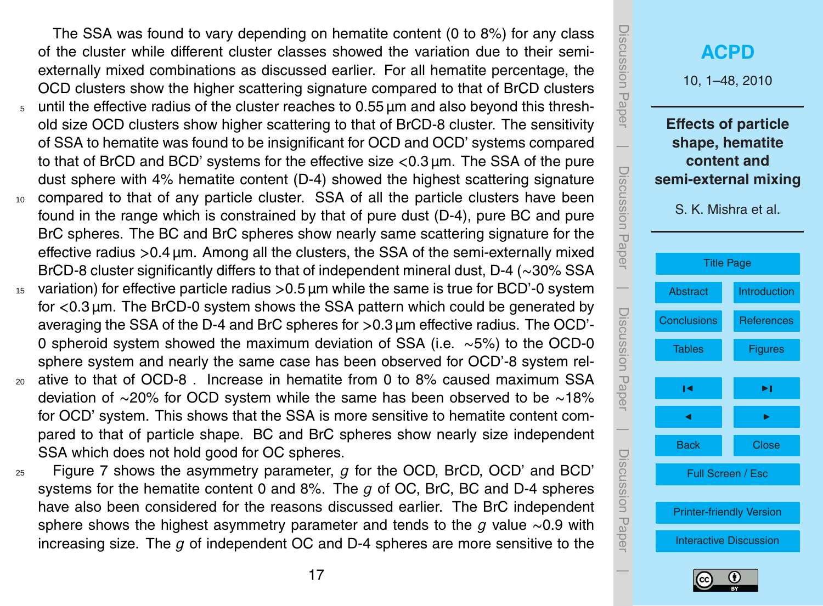The SSA was found to vary depending on hematite content (0 to 8%) for any class of the cluster while different cluster classes showed the variation due to their semiexternally mixed combinations as discussed earlier. For all hematite percentage, the OCD clusters show the higher scattering signature compared to that of BrCD clusters <sup>5</sup> until the effective radius of the cluster reaches to 0.55 µm and also beyond this threshold size OCD clusters show higher scattering to that of BrCD-8 cluster. The sensitivity of SSA to hematite was found to be insignificant for OCD and OCD' systems compared to that of BrCD and BCD' systems for the effective size *<*0.3 µm. The SSA of the pure

- dust sphere with 4% hematite content (D-4) showed the highest scattering signature <sup>10</sup> compared to that of any particle cluster. SSA of all the particle clusters have been found in the range which is constrained by that of pure dust (D-4), pure BC and pure BrC spheres. The BC and BrC spheres show nearly same scattering signature for the effective radius *>*0.4 µm. Among all the clusters, the SSA of the semi-externally mixed BrCD-8 cluster significantly differs to that of independent mineral dust, D-4 (∼30% SSA
- <sup>15</sup> variation) for effective particle radius *>*0.5 µm while the same is true for BCD'-0 system for *<*0.3 µm. The BrCD-0 system shows the SSA pattern which could be generated by averaging the SSA of the D-4 and BrC spheres for *>*0.3 µm effective radius. The OCD'- 0 spheroid system showed the maximum deviation of SSA (i.e. ∼5%) to the OCD-0 sphere system and nearly the same case has been observed for OCD'-8 system rel-
- <sup>20</sup> ative to that of OCD-8 . Increase in hematite from 0 to 8% caused maximum SSA deviation of ∼20% for OCD system while the same has been observed to be ∼18% for OCD' system. This shows that the SSA is more sensitive to hematite content compared to that of particle shape. BC and BrC spheres show nearly size independent SSA which does not hold good for OC spheres.
- $_{25}$  Figure 7 shows the asymmetry parameter,  $q$  for the OCD, BrCD, OCD' and BCD' systems for the hematite content 0 and 8%. The *g* of OC, BrC, BC and D-4 spheres have also been considered for the reasons discussed earlier. The BrC independent sphere shows the highest asymmetry parameter and tends to the *g* value ∼0.9 with increasing size. The *g* of independent OC and D-4 spheres are more sensitive to the



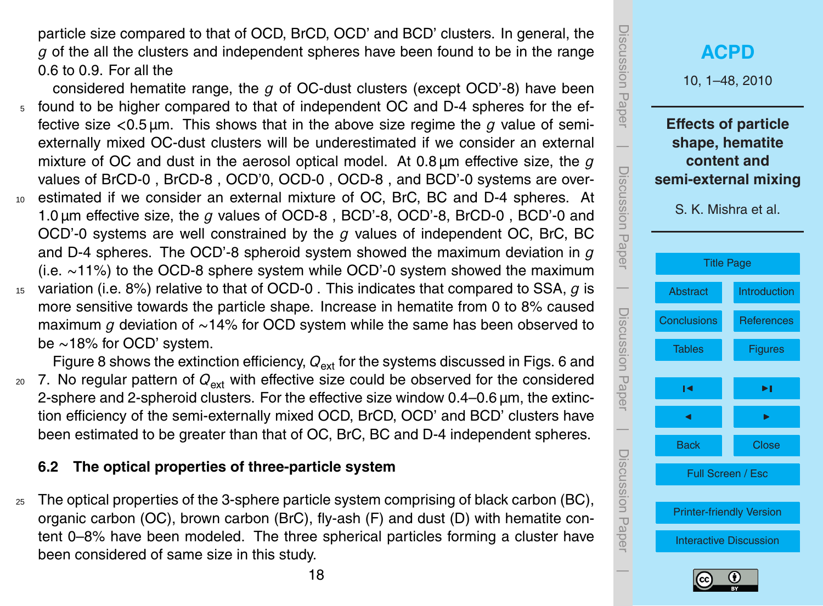particle size compared to that of OCD, BrCD, OCD' and BCD' clusters. In general, the *g* of the all the clusters and independent spheres have been found to be in the range 0.6 to 0.9. For all the

- considered hematite range, the *g* of OC-dust clusters (except OCD'-8) have been <sup>5</sup> found to be higher compared to that of independent OC and D-4 spheres for the effective size *<*0.5 µm. This shows that in the above size regime the *g* value of semiexternally mixed OC-dust clusters will be underestimated if we consider an external mixture of OC and dust in the aerosol optical model. At 0.8 µm effective size, the *g* values of BrCD-0 , BrCD-8 , OCD'0, OCD-0 , OCD-8 , and BCD'-0 systems are over-<sup>10</sup> estimated if we consider an external mixture of OC, BrC, BC and D-4 spheres. At
- 1.0 µm effective size, the *g* values of OCD-8 , BCD'-8, OCD'-8, BrCD-0 , BCD'-0 and OCD'-0 systems are well constrained by the *g* values of independent OC, BrC, BC and D-4 spheres. The OCD'-8 spheroid system showed the maximum deviation in *g* (i.e. ∼11%) to the OCD-8 sphere system while OCD'-0 system showed the maximum
- <sup>15</sup> variation (i.e. 8%) relative to that of OCD-0 . This indicates that compared to SSA, *g* is more sensitive towards the particle shape. Increase in hematite from 0 to 8% caused maximum *g* deviation of ∼14% for OCD system while the same has been observed to be ∼18% for OCD' system.

Figure 8 shows the extinction efficiency,  $Q_{\text{ext}}$  for the systems discussed in Figs. 6 and 20 7. No regular pattern of  $Q_{\text{ext}}$  with effective size could be observed for the considered 2-sphere and 2-spheroid clusters. For the effective size window  $0.4-0.6 \mu m$ , the extinction efficiency of the semi-externally mixed OCD, BrCD, OCD' and BCD' clusters have been estimated to be greater than that of OC, BrC, BC and D-4 independent spheres.

# **6.2 The optical properties of three-particle system**

 $25$  The optical properties of the 3-sphere particle system comprising of black carbon (BC), organic carbon (OC), brown carbon (BrC), fly-ash (F) and dust (D) with hematite content 0–8% have been modeled. The three spherical particles forming a cluster have been considered of same size in this study.



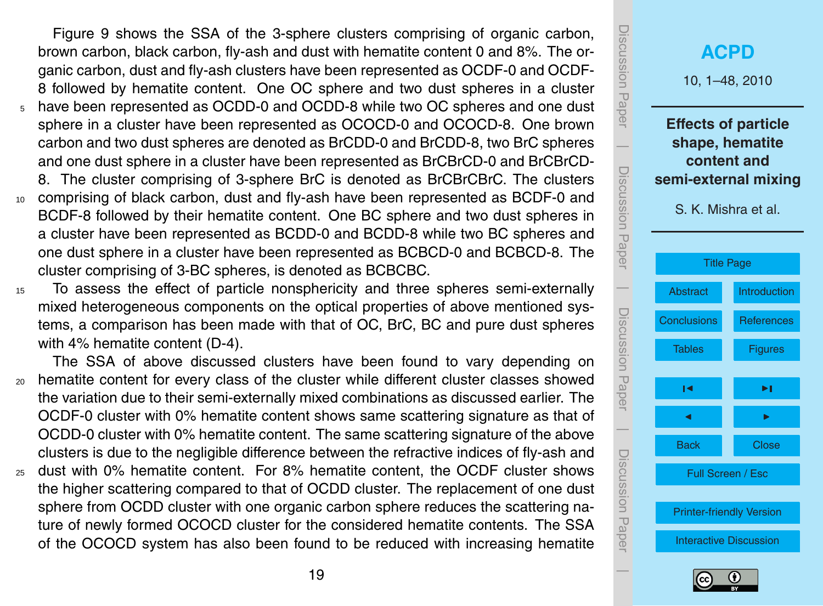Figure 9 shows the SSA of the 3-sphere clusters comprising of organic carbon, brown carbon, black carbon, fly-ash and dust with hematite content 0 and 8%. The organic carbon, dust and fly-ash clusters have been represented as OCDF-0 and OCDF-8 followed by hematite content. One OC sphere and two dust spheres in a cluster <sup>5</sup> have been represented as OCDD-0 and OCDD-8 while two OC spheres and one dust sphere in a cluster have been represented as OCOCD-0 and OCOCD-8. One brown carbon and two dust spheres are denoted as BrCDD-0 and BrCDD-8, two BrC spheres and one dust sphere in a cluster have been represented as BrCBrCD-0 and BrCBrCD-

8. The cluster comprising of 3-sphere BrC is denoted as BrCBrCBrC. The clusters <sup>10</sup> comprising of black carbon, dust and fly-ash have been represented as BCDF-0 and BCDF-8 followed by their hematite content. One BC sphere and two dust spheres in a cluster have been represented as BCDD-0 and BCDD-8 while two BC spheres and one dust sphere in a cluster have been represented as BCBCD-0 and BCBCD-8. The cluster comprising of 3-BC spheres, is denoted as BCBCBC.

<sup>15</sup> To assess the effect of particle nonsphericity and three spheres semi-externally mixed heterogeneous components on the optical properties of above mentioned systems, a comparison has been made with that of OC, BrC, BC and pure dust spheres with 4% hematite content (D-4).

The SSA of above discussed clusters have been found to vary depending on <sup>20</sup> hematite content for every class of the cluster while different cluster classes showed the variation due to their semi-externally mixed combinations as discussed earlier. The OCDF-0 cluster with 0% hematite content shows same scattering signature as that of OCDD-0 cluster with 0% hematite content. The same scattering signature of the above clusters is due to the negligible difference between the refractive indices of fly-ash and

<sup>25</sup> dust with 0% hematite content. For 8% hematite content, the OCDF cluster shows the higher scattering compared to that of OCDD cluster. The replacement of one dust sphere from OCDD cluster with one organic carbon sphere reduces the scattering nature of newly formed OCOCD cluster for the considered hematite contents. The SSA of the OCOCD system has also been found to be reduced with increasing hematite



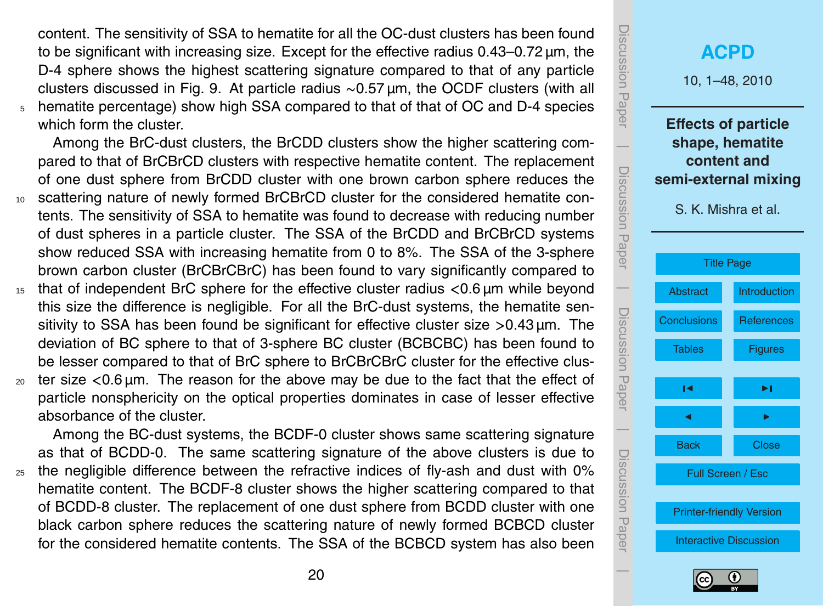content. The sensitivity of SSA to hematite for all the OC-dust clusters has been found to be significant with increasing size. Except for the effective radius 0.43–0.72 µm, the D-4 sphere shows the highest scattering signature compared to that of any particle clusters discussed in Fig. 9. At particle radius ∼0.57 µm, the OCDF clusters (with all <sup>5</sup> hematite percentage) show high SSA compared to that of that of OC and D-4 species which form the cluster.

Among the BrC-dust clusters, the BrCDD clusters show the higher scattering compared to that of BrCBrCD clusters with respective hematite content. The replacement of one dust sphere from BrCDD cluster with one brown carbon sphere reduces the <sup>10</sup> scattering nature of newly formed BrCBrCD cluster for the considered hematite con-

- tents. The sensitivity of SSA to hematite was found to decrease with reducing number of dust spheres in a particle cluster. The SSA of the BrCDD and BrCBrCD systems show reduced SSA with increasing hematite from 0 to 8%. The SSA of the 3-sphere brown carbon cluster (BrCBrCBrC) has been found to vary significantly compared to
- <sup>15</sup> that of independent BrC sphere for the effective cluster radius *<*0.6 µm while beyond this size the difference is negligible. For all the BrC-dust systems, the hematite sensitivity to SSA has been found be significant for effective cluster size *>*0.43 µm. The deviation of BC sphere to that of 3-sphere BC cluster (BCBCBC) has been found to be lesser compared to that of BrC sphere to BrCBrCBrC cluster for the effective clus-
- <sup>20</sup> ter size *<*0.6 µm. The reason for the above may be due to the fact that the effect of particle nonsphericity on the optical properties dominates in case of lesser effective absorbance of the cluster.

Among the BC-dust systems, the BCDF-0 cluster shows same scattering signature as that of BCDD-0. The same scattering signature of the above clusters is due to  $25$  the negligible difference between the refractive indices of fly-ash and dust with 0% hematite content. The BCDF-8 cluster shows the higher scattering compared to that of BCDD-8 cluster. The replacement of one dust sphere from BCDD cluster with one black carbon sphere reduces the scattering nature of newly formed BCBCD cluster for the considered hematite contents. The SSA of the BCBCD system has also been



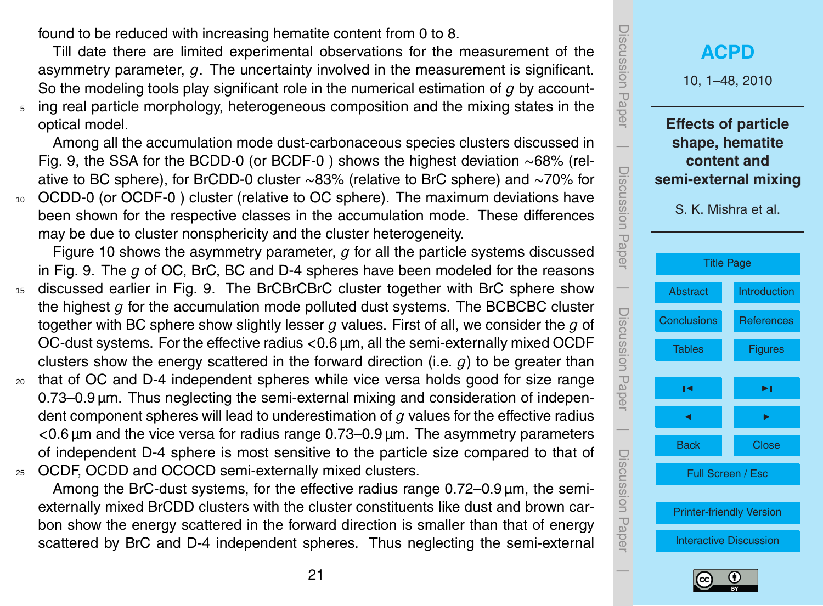found to be reduced with increasing hematite content from 0 to 8.

Till date there are limited experimental observations for the measurement of the asymmetry parameter, *g*. The uncertainty involved in the measurement is significant. So the modeling tools play significant role in the numerical estimation of *g* by account-<sup>5</sup> ing real particle morphology, heterogeneous composition and the mixing states in the optical model.

- Among all the accumulation mode dust-carbonaceous species clusters discussed in Fig. 9, the SSA for the BCDD-0 (or BCDF-0 ) shows the highest deviation ∼68% (relative to BC sphere), for BrCDD-0 cluster ∼83% (relative to BrC sphere) and ∼70% for <sup>10</sup> OCDD-0 (or OCDF-0 ) cluster (relative to OC sphere). The maximum deviations have
- been shown for the respective classes in the accumulation mode. These differences may be due to cluster nonsphericity and the cluster heterogeneity.

Figure 10 shows the asymmetry parameter, *g* for all the particle systems discussed in Fig. 9. The *g* of OC, BrC, BC and D-4 spheres have been modeled for the reasons

- <sup>15</sup> discussed earlier in Fig. 9. The BrCBrCBrC cluster together with BrC sphere show the highest *g* for the accumulation mode polluted dust systems. The BCBCBC cluster together with BC sphere show slightly lesser *g* values. First of all, we consider the *g* of OC-dust systems. For the effective radius *<*0.6 µm, all the semi-externally mixed OCDF clusters show the energy scattered in the forward direction (i.e. *g*) to be greater than
- <sup>20</sup> that of OC and D-4 independent spheres while vice versa holds good for size range 0.73–0.9 µm. Thus neglecting the semi-external mixing and consideration of independent component spheres will lead to underestimation of *g* values for the effective radius *<*0.6 µm and the vice versa for radius range 0.73–0.9 µm. The asymmetry parameters of independent D-4 sphere is most sensitive to the particle size compared to that of 25 OCDF, OCDD and OCOCD semi-externally mixed clusters.

Among the BrC-dust systems, for the effective radius range 0.72–0.9 µm, the semiexternally mixed BrCDD clusters with the cluster constituents like dust and brown carbon show the energy scattered in the forward direction is smaller than that of energy scattered by BrC and D-4 independent spheres. Thus neglecting the semi-external



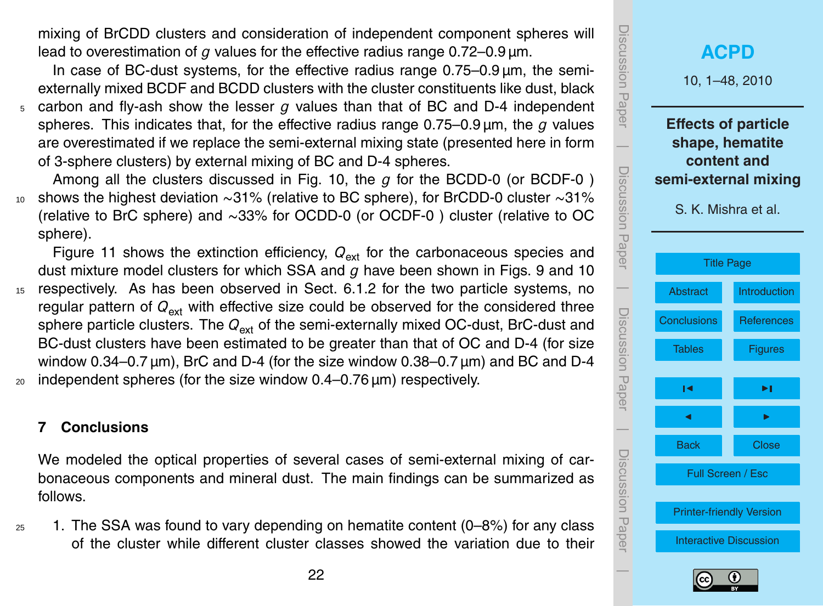<span id="page-21-0"></span>mixing of BrCDD clusters and consideration of independent component spheres will lead to overestimation of *g* values for the effective radius range 0.72–0.9 µm.

In case of BC-dust systems, for the effective radius range  $0.75-0.9 \,\mu m$ , the semiexternally mixed BCDF and BCDD clusters with the cluster constituents like dust, black

<sup>5</sup> carbon and fly-ash show the lesser *g* values than that of BC and D-4 independent spheres. This indicates that, for the effective radius range 0.75–0.9 µm, the *g* values are overestimated if we replace the semi-external mixing state (presented here in form of 3-sphere clusters) by external mixing of BC and D-4 spheres.

Among all the clusters discussed in Fig. 10, the *g* for the BCDD-0 (or BCDF-0 ) <sup>10</sup> shows the highest deviation ∼31% (relative to BC sphere), for BrCDD-0 cluster ∼31% (relative to BrC sphere) and ∼33% for OCDD-0 (or OCDF-0 ) cluster (relative to OC sphere).

Figure 11 shows the extinction efficiency,  $Q_{\text{ext}}$  for the carbonaceous species and dust mixture model clusters for which SSA and *g* have been shown in Figs. 9 and 10 <sup>15</sup> respectively. As has been observed in Sect. 6.1.2 for the two particle systems, no regular pattern of  $Q_{\text{ext}}$  with effective size could be observed for the considered three sphere particle clusters. The  $Q_{\text{ext}}$  of the semi-externally mixed OC-dust, BrC-dust and BC-dust clusters have been estimated to be greater than that of OC and D-4 (for size window  $0.34$ –0.7  $\mu$ m), BrC and D-4 (for the size window  $0.38$ –0.7  $\mu$ m) and BC and D-4  $20$  independent spheres (for the size window 0.4–0.76  $\mu$ m) respectively.

#### **7 Conclusions**

We modeled the optical properties of several cases of semi-external mixing of carbonaceous components and mineral dust. The main findings can be summarized as follows.

 $25$  1. The SSA was found to vary depending on hematite content (0–8%) for any class of the cluster while different cluster classes showed the variation due to their



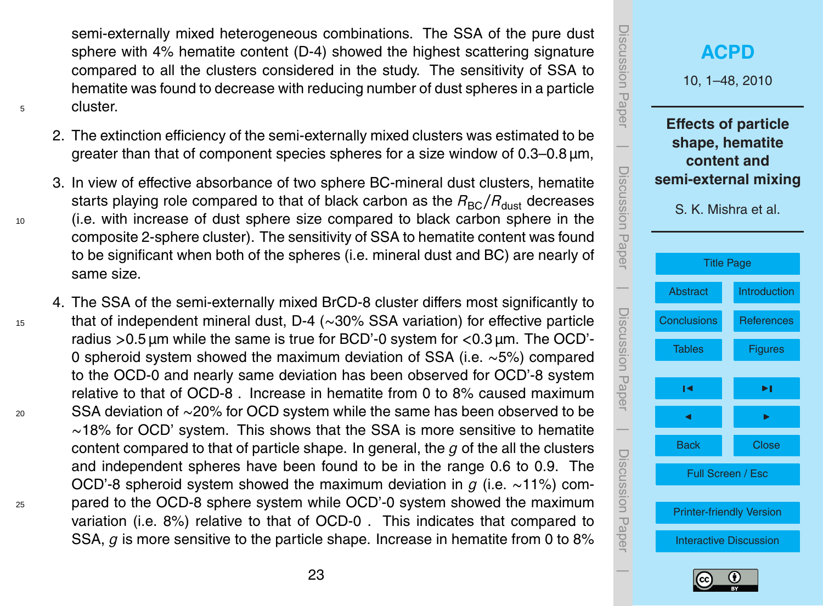semi-externally mixed heterogeneous combinations. The SSA of the pure dust sphere with 4% hematite content (D-4) showed the highest scattering signature compared to all the clusters considered in the study. The sensitivity of SSA to hematite was found to decrease with reducing number of dust spheres in a particle <sup>5</sup> cluster.

- 2. The extinction efficiency of the semi-externally mixed clusters was estimated to be greater than that of component species spheres for a size window of 0.3–0.8 µm,
- 3. In view of effective absorbance of two sphere BC-mineral dust clusters, hematite starts playing role compared to that of black carbon as the  $R_{BC}/R_{dust}$  decreases <sup>10</sup> (i.e. with increase of dust sphere size compared to black carbon sphere in the composite 2-sphere cluster). The sensitivity of SSA to hematite content was found to be significant when both of the spheres (i.e. mineral dust and BC) are nearly of same size.
- 4. The SSA of the semi-externally mixed BrCD-8 cluster differs most significantly to <sup>15</sup> that of independent mineral dust, D-4 (∼30% SSA variation) for effective particle radius *>*0.5 µm while the same is true for BCD'-0 system for *<*0.3 µm. The OCD'- 0 spheroid system showed the maximum deviation of SSA (i.e. ∼5%) compared to the OCD-0 and nearly same deviation has been observed for OCD'-8 system relative to that of OCD-8 . Increase in hematite from 0 to 8% caused maximum 20 SSA deviation of ∼20% for OCD system while the same has been observed to be ∼18% for OCD' system. This shows that the SSA is more sensitive to hematite content compared to that of particle shape. In general, the *g* of the all the clusters and independent spheres have been found to be in the range 0.6 to 0.9. The OCD'-8 spheroid system showed the maximum deviation in *g* (i.e. ∼11%) com-<sup>25</sup> pared to the OCD-8 sphere system while OCD'-0 system showed the maximum variation (i.e. 8%) relative to that of OCD-0 . This indicates that compared to SSA, *g* is more sensitive to the particle shape. Increase in hematite from 0 to 8%



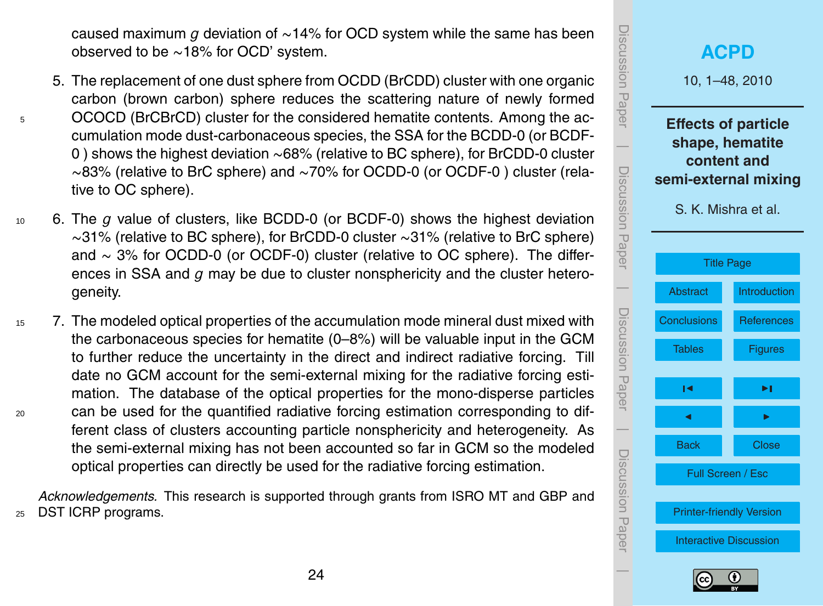caused maximum *g* deviation of ∼14% for OCD system while the same has been observed to be ∼18% for OCD' system.

- 5. The replacement of one dust sphere from OCDD (BrCDD) cluster with one organic carbon (brown carbon) sphere reduces the scattering nature of newly formed <sup>5</sup> OCOCD (BrCBrCD) cluster for the considered hematite contents. Among the accumulation mode dust-carbonaceous species, the SSA for the BCDD-0 (or BCDF-0 ) shows the highest deviation ∼68% (relative to BC sphere), for BrCDD-0 cluster ∼83% (relative to BrC sphere) and ∼70% for OCDD-0 (or OCDF-0 ) cluster (relative to OC sphere).
- <sup>10</sup> 6. The *g* value of clusters, like BCDD-0 (or BCDF-0) shows the highest deviation ∼31% (relative to BC sphere), for BrCDD-0 cluster ∼31% (relative to BrC sphere) and ∼ 3% for OCDD-0 (or OCDF-0) cluster (relative to OC sphere). The differences in SSA and *g* may be due to cluster nonsphericity and the cluster heterogeneity.
- <sup>15</sup> 7. The modeled optical properties of the accumulation mode mineral dust mixed with the carbonaceous species for hematite (0–8%) will be valuable input in the GCM to further reduce the uncertainty in the direct and indirect radiative forcing. Till date no GCM account for the semi-external mixing for the radiative forcing estimation. The database of the optical properties for the mono-disperse particles <sup>20</sup> can be used for the quantified radiative forcing estimation corresponding to different class of clusters accounting particle nonsphericity and heterogeneity. As the semi-external mixing has not been accounted so far in GCM so the modeled optical properties can directly be used for the radiative forcing estimation.

*Acknowledgements.* This research is supported through grants from ISRO MT and GBP and <sup>25</sup> DST ICRP programs.



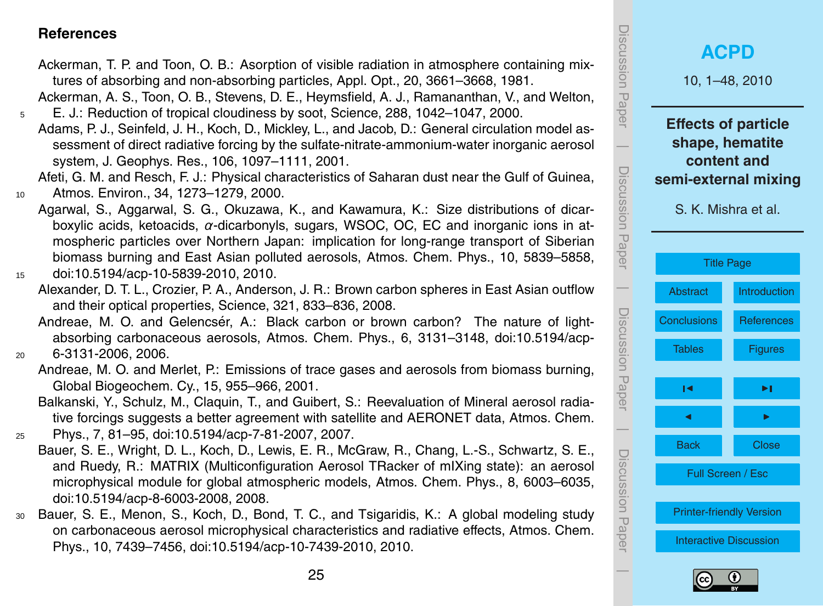#### <span id="page-24-0"></span>**References**

- Ackerman, T. P. and Toon, O. B.: Asorption of visible radiation in atmosphere containing mixtures of absorbing and non-absorbing particles, Appl. Opt., 20, 3661–3668, 1981.
- Ackerman, A. S., Toon, O. B., Stevens, D. E., Heymsfield, A. J., Ramananthan, V., and Welton, <sup>5</sup> E. J.: Reduction of tropical cloudiness by soot, Science, 288, 1042–1047, 2000.
- Adams, P. J., Seinfeld, J. H., Koch, D., Mickley, L., and Jacob, D.: General circulation model assessment of direct radiative forcing by the sulfate-nitrate-ammonium-water inorganic aerosol system, J. Geophys. Res., 106, 1097–1111, 2001.
- Afeti, G. M. and Resch, F. J.: Physical characteristics of Saharan dust near the Gulf of Guinea, <sup>10</sup> Atmos. Environ., 34, 1273–1279, 2000.
- Agarwal, S., Aggarwal, S. G., Okuzawa, K., and Kawamura, K.: Size distributions of dicarboxylic acids, ketoacids, *α*-dicarbonyls, sugars, WSOC, OC, EC and inorganic ions in atmospheric particles over Northern Japan: implication for long-range transport of Siberian biomass burning and East Asian polluted aerosols, Atmos. Chem. Phys., 10, 5839–5858, <sup>15</sup> doi:10.5194/acp-10-5839-2010, 2010.
- Alexander, D. T. L., Crozier, P. A., Anderson, J. R.: Brown carbon spheres in East Asian outflow and their optical properties, Science, 321, 833–836, 2008.
- Andreae, M. O. and Gelencsér, A.: Black carbon or brown carbon? The nature of lightabsorbing carbonaceous aerosols, Atmos. Chem. Phys., 6, 3131–3148, doi:10.5194/acp-<sup>20</sup> 6-3131-2006, 2006.
- Andreae, M. O. and Merlet, P.: Emissions of trace gases and aerosols from biomass burning, Global Biogeochem. Cy., 15, 955–966, 2001.
	- Balkanski, Y., Schulz, M., Claquin, T., and Guibert, S.: Reevaluation of Mineral aerosol radiative forcings suggests a better agreement with satellite and AERONET data, Atmos. Chem.
- <sup>25</sup> Phys., 7, 81–95, doi:10.5194/acp-7-81-2007, 2007.
- Bauer, S. E., Wright, D. L., Koch, D., Lewis, E. R., McGraw, R., Chang, L.-S., Schwartz, S. E., and Ruedy, R.: MATRIX (Multiconfiguration Aerosol TRacker of mIXing state): an aerosol microphysical module for global atmospheric models, Atmos. Chem. Phys., 8, 6003–6035, doi:10.5194/acp-8-6003-2008, 2008.
- <sup>30</sup> Bauer, S. E., Menon, S., Koch, D., Bond, T. C., and Tsigaridis, K.: A global modeling study on carbonaceous aerosol microphysical characteristics and radiative effects, Atmos. Chem. Phys., 10, 7439–7456, doi:10.5194/acp-10-7439-2010, 2010.



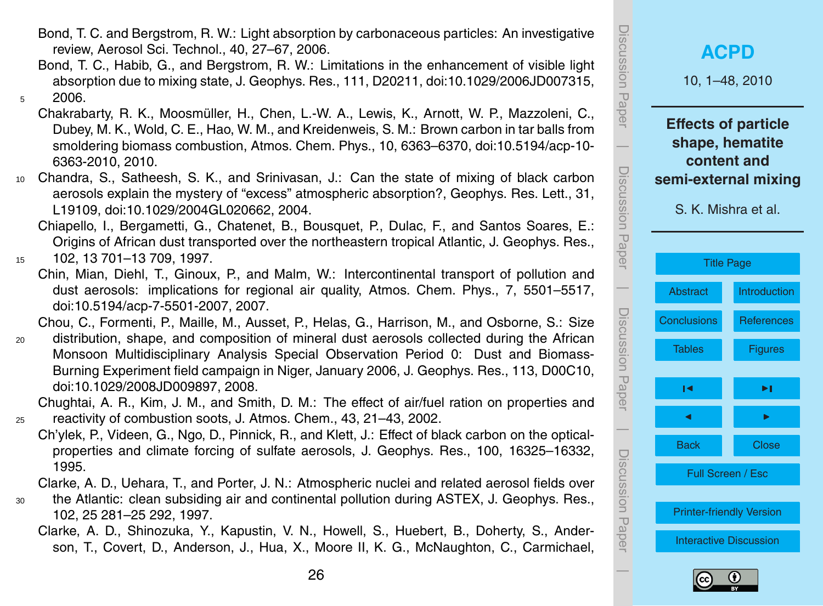- Bond, T. C. and Bergstrom, R. W.: Light absorption by carbonaceous particles: An investigative review, Aerosol Sci. Technol., 40, 27–67, 2006.
- Bond, T. C., Habib, G., and Bergstrom, R. W.: Limitations in the enhancement of visible light absorption due to mixing state, J. Geophys. Res., 111, D20211, doi:10.1029/2006JD007315,  $5$  2006.
- Chakrabarty, R. K., Moosmüller, H., Chen, L.-W. A., Lewis, K., Arnott, W. P., Mazzoleni, C., Dubey, M. K., Wold, C. E., Hao, W. M., and Kreidenweis, S. M.: Brown carbon in tar balls from smoldering biomass combustion, Atmos. Chem. Phys., 10, 6363–6370, doi:10.5194/acp-10- 6363-2010, 2010.
- <sup>10</sup> Chandra, S., Satheesh, S. K., and Srinivasan, J.: Can the state of mixing of black carbon aerosols explain the mystery of "excess" atmospheric absorption?, Geophys. Res. Lett., 31, L19109, doi:10.1029/2004GL020662, 2004.

Chiapello, I., Bergametti, G., Chatenet, B., Bousquet, P., Dulac, F., and Santos Soares, E.: Origins of African dust transported over the northeastern tropical Atlantic, J. Geophys. Res.,

<sup>15</sup> 102, 13 701–13 709, 1997.

Chin, Mian, Diehl, T., Ginoux, P., and Malm, W.: Intercontinental transport of pollution and dust aerosols: implications for regional air quality, Atmos. Chem. Phys., 7, 5501–5517, doi:10.5194/acp-7-5501-2007, 2007.

Chou, C., Formenti, P., Maille, M., Ausset, P., Helas, G., Harrison, M., and Osborne, S.: Size

<sup>20</sup> distribution, shape, and composition of mineral dust aerosols collected during the African Monsoon Multidisciplinary Analysis Special Observation Period 0: Dust and Biomass-Burning Experiment field campaign in Niger, January 2006, J. Geophys. Res., 113, D00C10, doi:10.1029/2008JD009897, 2008.

Chughtai, A. R., Kim, J. M., and Smith, D. M.: The effect of air/fuel ration on properties and <sup>25</sup> reactivity of combustion soots, J. Atmos. Chem., 43, 21–43, 2002.

Ch'ylek, P., Videen, G., Ngo, D., Pinnick, R., and Klett, J.: Effect of black carbon on the opticalproperties and climate forcing of sulfate aerosols, J. Geophys. Res., 100, 16325–16332, 1995.

Clarke, A. D., Uehara, T., and Porter, J. N.: Atmospheric nuclei and related aerosol fields over

- <sup>30</sup> the Atlantic: clean subsiding air and continental pollution during ASTEX, J. Geophys. Res., 102, 25 281–25 292, 1997.
	- Clarke, A. D., Shinozuka, Y., Kapustin, V. N., Howell, S., Huebert, B., Doherty, S., Anderson, T., Covert, D., Anderson, J., Hua, X., Moore II, K. G., McNaughton, C., Carmichael,

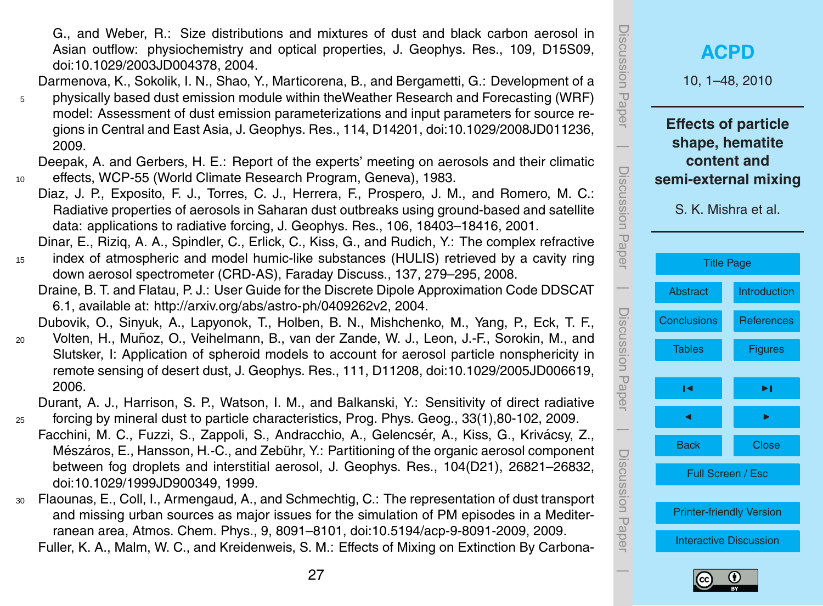G., and Weber, R.: Size distributions and mixtures of dust and black carbon aerosol in Asian outflow: physiochemistry and optical properties, J. Geophys. Res., 109, D15S09, doi:10.1029/2003JD004378, 2004.

Darmenova, K., Sokolik, I. N., Shao, Y., Marticorena, B., and Bergametti, G.: Development of a <sup>5</sup> physically based dust emission module within theWeather Research and Forecasting (WRF) model: Assessment of dust emission parameterizations and input parameters for source regions in Central and East Asia, J. Geophys. Res., 114, D14201, doi:10.1029/2008JD011236, 2009.

Deepak, A. and Gerbers, H. E.: Report of the experts' meeting on aerosols and their climatic <sup>10</sup> effects, WCP-55 (World Climate Research Program, Geneva), 1983.

Diaz, J. P., Exposito, F. J., Torres, C. J., Herrera, F., Prospero, J. M., and Romero, M. C.: Radiative properties of aerosols in Saharan dust outbreaks using ground-based and satellite data: applications to radiative forcing, J. Geophys. Res., 106, 18403–18416, 2001.

Dinar, E., Riziq, A. A., Spindler, C., Erlick, C., Kiss, G., and Rudich, Y.: The complex refractive <sup>15</sup> index of atmospheric and model humic-like substances (HULIS) retrieved by a cavity ring down aerosol spectrometer (CRD-AS), Faraday Discuss., 137, 279–295, 2008.

Draine, B. T. and Flatau, P. J.: User Guide for the Discrete Dipole Approximation Code DDSCAT 6.1, available at: [http://arxiv.org/abs/astro-ph/0409262v2,](http://arxiv.org/abs/astro-ph/0409262v2) 2004.

Dubovik, O., Sinyuk, A., Lapyonok, T., Holben, B. N., Mishchenko, M., Yang, P., Eck, T. F.,

<sup>20</sup> Volten, H., Munoz, O., Veihelmann, B., van der Zande, W. J., Leon, J.-F., Sorokin, M., and ˜ Slutsker, I: Application of spheroid models to account for aerosol particle nonsphericity in remote sensing of desert dust, J. Geophys. Res., 111, D11208, doi:10.1029/2005JD006619, 2006.

Durant, A. J., Harrison, S. P., Watson, I. M., and Balkanski, Y.: Sensitivity of direct radiative <sup>25</sup> forcing by mineral dust to particle characteristics, Prog. Phys. Geog., 33(1),80-102, 2009.

- Facchini, M. C., Fuzzi, S., Zappoli, S., Andracchio, A., Gelencsér, A., Kiss, G., Krivácsy, Z., Mészáros, E., Hansson, H.-C., and Zebühr, Y.: Partitioning of the organic aerosol component between fog droplets and interstitial aerosol, J. Geophys. Res., 104(D21), 26821–26832, doi:10.1029/1999JD900349, 1999.
- <sup>30</sup> Flaounas, E., Coll, I., Armengaud, A., and Schmechtig, C.: The representation of dust transport and missing urban sources as major issues for the simulation of PM episodes in a Mediterranean area, Atmos. Chem. Phys., 9, 8091–8101, doi:10.5194/acp-9-8091-2009, 2009. Fuller, K. A., Malm, W. C., and Kreidenweis, S. M.: Effects of Mixing on Extinction By Carbona-



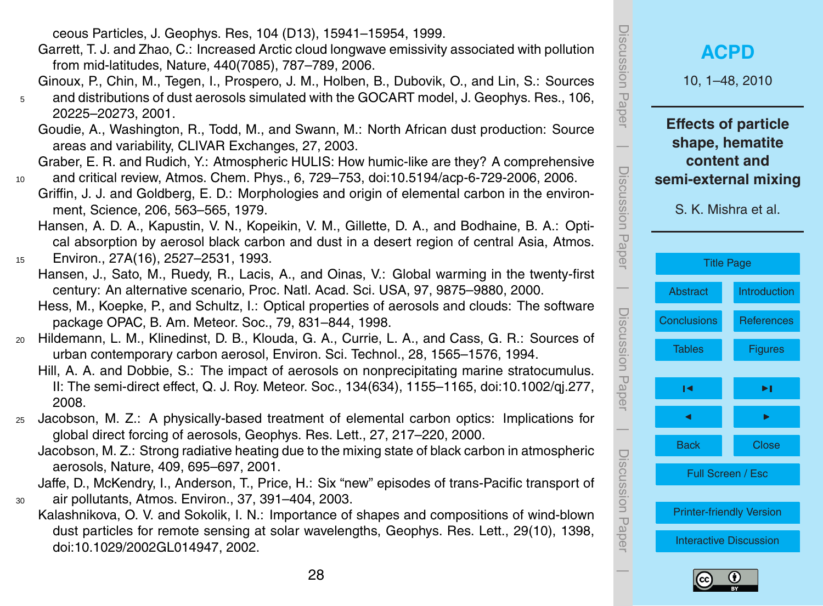ceous Particles, J. Geophys. Res, 104 (D13), 15941–15954, 1999.

- Garrett, T. J. and Zhao, C.: Increased Arctic cloud longwave emissivity associated with pollution from mid-latitudes, Nature, 440(7085), 787–789, 2006.
- Ginoux, P., Chin, M., Tegen, I., Prospero, J. M., Holben, B., Dubovik, O., and Lin, S.: Sources <sup>5</sup> and distributions of dust aerosols simulated with the GOCART model, J. Geophys. Res., 106, 20225–20273, 2001.
	- Goudie, A., Washington, R., Todd, M., and Swann, M.: North African dust production: Source areas and variability, CLIVAR Exchanges, 27, 2003.
- Graber, E. R. and Rudich, Y.: Atmospheric HULIS: How humic-like are they? A comprehensive <sup>10</sup> and critical review, Atmos. Chem. Phys., 6, 729–753, doi:10.5194/acp-6-729-2006, 2006.
- Griffin, J. J. and Goldberg, E. D.: Morphologies and origin of elemental carbon in the environment, Science, 206, 563–565, 1979.
	- Hansen, A. D. A., Kapustin, V. N., Kopeikin, V. M., Gillette, D. A., and Bodhaine, B. A.: Optical absorption by aerosol black carbon and dust in a desert region of central Asia, Atmos.

<sup>15</sup> Environ., 27A(16), 2527–2531, 1993.

- Hansen, J., Sato, M., Ruedy, R., Lacis, A., and Oinas, V.: Global warming in the twenty-first century: An alternative scenario, Proc. Natl. Acad. Sci. USA, 97, 9875–9880, 2000.
	- Hess, M., Koepke, P., and Schultz, I.: Optical properties of aerosols and clouds: The software package OPAC, B. Am. Meteor. Soc., 79, 831–844, 1998.
- <sup>20</sup> Hildemann, L. M., Klinedinst, D. B., Klouda, G. A., Currie, L. A., and Cass, G. R.: Sources of urban contemporary carbon aerosol, Environ. Sci. Technol., 28, 1565–1576, 1994.
	- Hill, A. A. and Dobbie, S.: The impact of aerosols on nonprecipitating marine stratocumulus. II: The semi-direct effect, Q. J. Roy. Meteor. Soc., 134(634), 1155–1165, doi:10.1002/qj.277, 2008.
- <sup>25</sup> Jacobson, M. Z.: A physically-based treatment of elemental carbon optics: Implications for global direct forcing of aerosols, Geophys. Res. Lett., 27, 217–220, 2000.
	- Jacobson, M. Z.: Strong radiative heating due to the mixing state of black carbon in atmospheric aerosols, Nature, 409, 695–697, 2001.
- Jaffe, D., McKendry, I., Anderson, T., Price, H.: Six "new" episodes of trans-Pacific transport of <sup>30</sup> air pollutants, Atmos. Environ., 37, 391–404, 2003.
	- Kalashnikova, O. V. and Sokolik, I. N.: Importance of shapes and compositions of wind-blown dust particles for remote sensing at solar wavelengths, Geophys. Res. Lett., 29(10), 1398, doi:10.1029/2002GL014947, 2002.



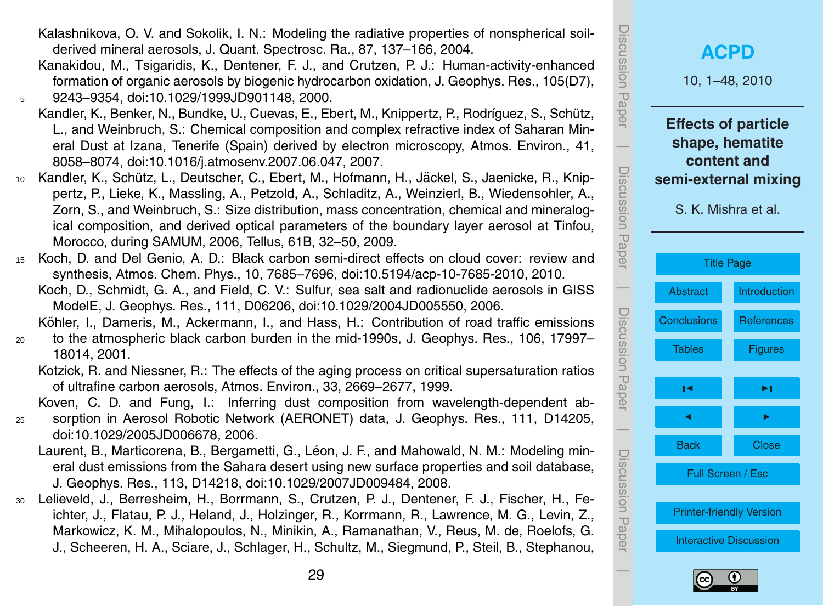- Kalashnikova, O. V. and Sokolik, I. N.: Modeling the radiative properties of nonspherical soilderived mineral aerosols, J. Quant. Spectrosc. Ra., 87, 137–166, 2004.
- Kanakidou, M., Tsigaridis, K., Dentener, F. J., and Crutzen, P. J.: Human-activity-enhanced formation of organic aerosols by biogenic hydrocarbon oxidation, J. Geophys. Res., 105(D7), <sup>5</sup> 9243–9354, doi:10.1029/1999JD901148, 2000.
- Kandler, K., Benker, N., Bundke, U., Cuevas, E., Ebert, M., Knippertz, P., Rodríguez, S., Schütz, L., and Weinbruch, S.: Chemical composition and complex refractive index of Saharan Mineral Dust at Izana, Tenerife (Spain) derived by electron microscopy, Atmos. Environ., 41, 8058–8074, doi:10.1016/j.atmosenv.2007.06.047, 2007.
- 10 Kandler, K., Schütz, L., Deutscher, C., Ebert, M., Hofmann, H., Jäckel, S., Jaenicke, R., Knippertz, P., Lieke, K., Massling, A., Petzold, A., Schladitz, A., Weinzierl, B., Wiedensohler, A., Zorn, S., and Weinbruch, S.: Size distribution, mass concentration, chemical and mineralogical composition, and derived optical parameters of the boundary layer aerosol at Tinfou, Morocco, during SAMUM, 2006, Tellus, 61B, 32–50, 2009.
- <sup>15</sup> Koch, D. and Del Genio, A. D.: Black carbon semi-direct effects on cloud cover: review and synthesis, Atmos. Chem. Phys., 10, 7685–7696, doi:10.5194/acp-10-7685-2010, 2010.
	- Koch, D., Schmidt, G. A., and Field, C. V.: Sulfur, sea salt and radionuclide aerosols in GISS ModelE, J. Geophys. Res., 111, D06206, doi:10.1029/2004JD005550, 2006.

Köhler, I., Dameris, M., Ackermann, I., and Hass, H.: Contribution of road traffic emissions <sup>20</sup> to the atmospheric black carbon burden in the mid-1990s, J. Geophys. Res., 106, 17997– 18014, 2001.

Kotzick, R. and Niessner, R.: The effects of the aging process on critical supersaturation ratios of ultrafine carbon aerosols, Atmos. Environ., 33, 2669–2677, 1999.

Koven, C. D. and Fung, I.: Inferring dust composition from wavelength-dependent ab-

- <sup>25</sup> sorption in Aerosol Robotic Network (AERONET) data, J. Geophys. Res., 111, D14205, doi:10.1029/2005JD006678, 2006.
	- Laurent, B., Marticorena, B., Bergametti, G., Léon, J. F., and Mahowald, N. M.: Modeling mineral dust emissions from the Sahara desert using new surface properties and soil database, J. Geophys. Res., 113, D14218, doi:10.1029/2007JD009484, 2008.
- <sup>30</sup> Lelieveld, J., Berresheim, H., Borrmann, S., Crutzen, P. J., Dentener, F. J., Fischer, H., Feichter, J., Flatau, P. J., Heland, J., Holzinger, R., Korrmann, R., Lawrence, M. G., Levin, Z., Markowicz, K. M., Mihalopoulos, N., Minikin, A., Ramanathan, V., Reus, M. de, Roelofs, G. J., Scheeren, H. A., Sciare, J., Schlager, H., Schultz, M., Siegmund, P., Steil, B., Stephanou,



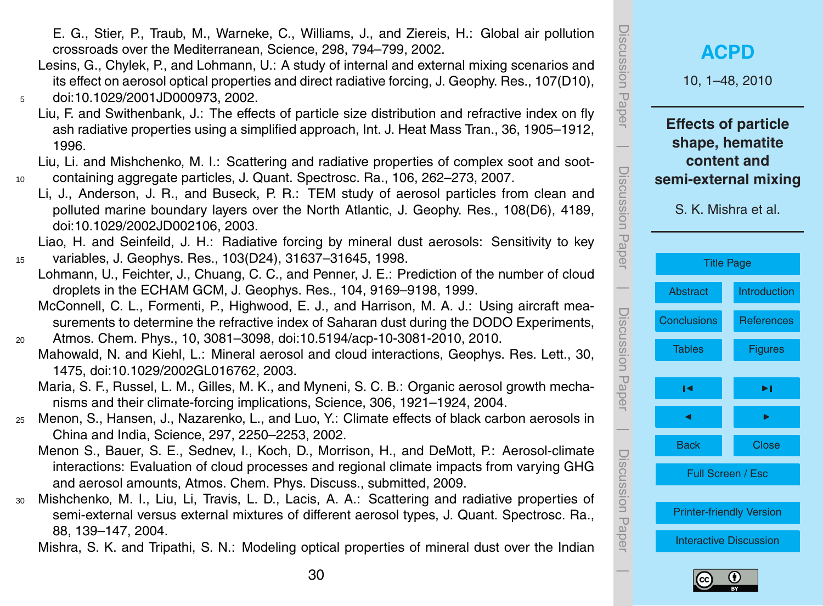- E. G., Stier, P., Traub, M., Warneke, C., Williams, J., and Ziereis, H.: Global air pollution crossroads over the Mediterranean, Science, 298, 794–799, 2002.
- Lesins, G., Chylek, P., and Lohmann, U.: A study of internal and external mixing scenarios and its effect on aerosol optical properties and direct radiative forcing, J. Geophy. Res., 107(D10), <sup>5</sup> doi:10.1029/2001JD000973, 2002.
	- Liu, F. and Swithenbank, J.: The effects of particle size distribution and refractive index on fly ash radiative properties using a simplified approach, Int. J. Heat Mass Tran., 36, 1905–1912, 1996.
- Liu, Li. and Mishchenko, M. I.: Scattering and radiative properties of complex soot and soot-<sup>10</sup> containing aggregate particles, J. Quant. Spectrosc. Ra., 106, 262–273, 2007.
	- Li, J., Anderson, J. R., and Buseck, P. R.: TEM study of aerosol particles from clean and polluted marine boundary layers over the North Atlantic, J. Geophy. Res., 108(D6), 4189, doi:10.1029/2002JD002106, 2003.

Liao, H. and Seinfeild, J. H.: Radiative forcing by mineral dust aerosols: Sensitivity to key <sup>15</sup> variables, J. Geophys. Res., 103(D24), 31637–31645, 1998.

- Lohmann, U., Feichter, J., Chuang, C. C., and Penner, J. E.: Prediction of the number of cloud droplets in the ECHAM GCM, J. Geophys. Res., 104, 9169–9198, 1999.
- McConnell, C. L., Formenti, P., Highwood, E. J., and Harrison, M. A. J.: Using aircraft measurements to determine the refractive index of Saharan dust during the DODO Experiments,
- <sup>20</sup> Atmos. Chem. Phys., 10, 3081–3098, doi:10.5194/acp-10-3081-2010, 2010. Mahowald, N. and Kiehl, L.: Mineral aerosol and cloud interactions, Geophys. Res. Lett., 30, 1475, doi:10.1029/2002GL016762, 2003.
	- Maria, S. F., Russel, L. M., Gilles, M. K., and Myneni, S. C. B.: Organic aerosol growth mechanisms and their climate-forcing implications, Science, 306, 1921–1924, 2004.
- <sup>25</sup> Menon, S., Hansen, J., Nazarenko, L., and Luo, Y.: Climate effects of black carbon aerosols in China and India, Science, 297, 2250–2253, 2002.
	- Menon S., Bauer, S. E., Sednev, I., Koch, D., Morrison, H., and DeMott, P.: Aerosol-climate interactions: Evaluation of cloud processes and regional climate impacts from varying GHG and aerosol amounts, Atmos. Chem. Phys. Discuss., submitted, 2009.
- Mishchenko, M. I., Liu, Li, Travis, L. D., Lacis, A. A.: Scattering and radiative properties of semi-external versus external mixtures of different aerosol types, J. Quant. Spectrosc. Ra., 88, 139–147, 2004.

Mishra, S. K. and Tripathi, S. N.: Modeling optical properties of mineral dust over the Indian

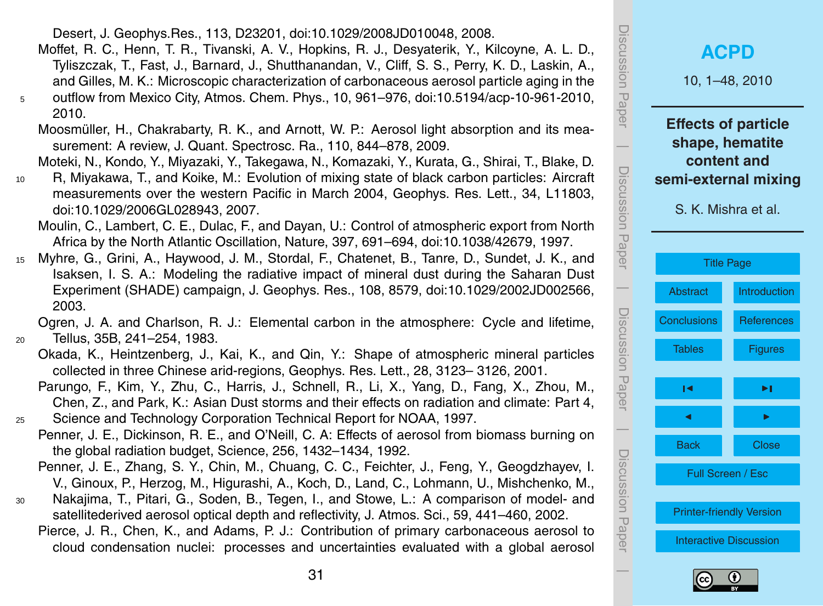Desert, J. Geophys.Res., 113, D23201, doi:10.1029/2008JD010048, 2008.

- Moffet, R. C., Henn, T. R., Tivanski, A. V., Hopkins, R. J., Desyaterik, Y., Kilcoyne, A. L. D., Tyliszczak, T., Fast, J., Barnard, J., Shutthanandan, V., Cliff, S. S., Perry, K. D., Laskin, A., and Gilles, M. K.: Microscopic characterization of carbonaceous aerosol particle aging in the <sup>5</sup> outflow from Mexico City, Atmos. Chem. Phys., 10, 961–976, doi:10.5194/acp-10-961-2010, 2010.
	- Moosmüller, H., Chakrabarty, R. K., and Arnott, W. P.: Aerosol light absorption and its measurement: A review, J. Quant. Spectrosc. Ra., 110, 844–878, 2009.
	- Moteki, N., Kondo, Y., Miyazaki, Y., Takegawa, N., Komazaki, Y., Kurata, G., Shirai, T., Blake, D.
- <sup>10</sup> R, Miyakawa, T., and Koike, M.: Evolution of mixing state of black carbon particles: Aircraft measurements over the western Pacific in March 2004, Geophys. Res. Lett., 34, L11803, doi:10.1029/2006GL028943, 2007.

Moulin, C., Lambert, C. E., Dulac, F., and Dayan, U.: Control of atmospheric export from North Africa by the North Atlantic Oscillation, Nature, 397, 691–694, doi:10.1038/42679, 1997.

<sup>15</sup> Myhre, G., Grini, A., Haywood, J. M., Stordal, F., Chatenet, B., Tanre, D., Sundet, J. K., and Isaksen, I. S. A.: Modeling the radiative impact of mineral dust during the Saharan Dust Experiment (SHADE) campaign, J. Geophys. Res., 108, 8579, doi:10.1029/2002JD002566, 2003.

Ogren, J. A. and Charlson, R. J.: Elemental carbon in the atmosphere: Cycle and lifetime, <sup>20</sup> Tellus, 35B, 241–254, 1983.

- Okada, K., Heintzenberg, J., Kai, K., and Qin, Y.: Shape of atmospheric mineral particles collected in three Chinese arid-regions, Geophys. Res. Lett., 28, 3123– 3126, 2001.
- Parungo, F., Kim, Y., Zhu, C., Harris, J., Schnell, R., Li, X., Yang, D., Fang, X., Zhou, M., Chen, Z., and Park, K.: Asian Dust storms and their effects on radiation and climate: Part 4, <sup>25</sup> Science and Technology Corporation Technical Report for NOAA, 1997.
	- Penner, J. E., Dickinson, R. E., and O'Neill, C. A: Effects of aerosol from biomass burning on the global radiation budget, Science, 256, 1432–1434, 1992.
	- Penner, J. E., Zhang, S. Y., Chin, M., Chuang, C. C., Feichter, J., Feng, Y., Geogdzhayev, I. V., Ginoux, P., Herzog, M., Higurashi, A., Koch, D., Land, C., Lohmann, U., Mishchenko, M.,
- <sup>30</sup> Nakajima, T., Pitari, G., Soden, B., Tegen, I., and Stowe, L.: A comparison of model- and satellitederived aerosol optical depth and reflectivity, J. Atmos. Sci., 59, 441–460, 2002.
	- Pierce, J. R., Chen, K., and Adams, P. J.: Contribution of primary carbonaceous aerosol to cloud condensation nuclei: processes and uncertainties evaluated with a global aerosol



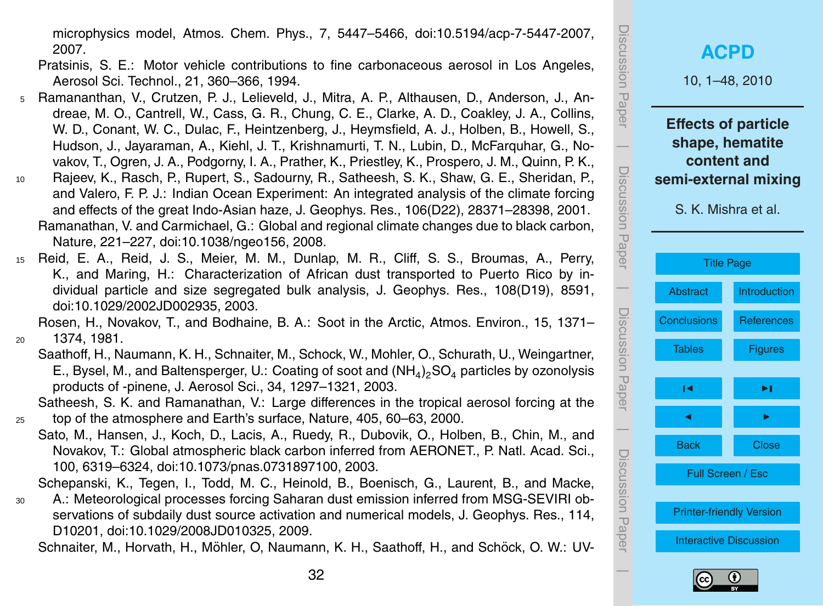microphysics model, Atmos. Chem. Phys., 7, 5447–5466, doi:10.5194/acp-7-5447-2007, 2007.

Pratsinis, S. E.: Motor vehicle contributions to fine carbonaceous aerosol in Los Angeles, Aerosol Sci. Technol., 21, 360–366, 1994.

- <sup>5</sup> Ramananthan, V., Crutzen, P. J., Lelieveld, J., Mitra, A. P., Althausen, D., Anderson, J., Andreae, M. O., Cantrell, W., Cass, G. R., Chung, C. E., Clarke, A. D., Coakley, J. A., Collins, W. D., Conant, W. C., Dulac, F., Heintzenberg, J., Heymsfield, A. J., Holben, B., Howell, S., Hudson, J., Jayaraman, A., Kiehl, J. T., Krishnamurti, T. N., Lubin, D., McFarquhar, G., Novakov, T., Ogren, J. A., Podgorny, I. A., Prather, K., Priestley, K., Prospero, J. M., Quinn, P. K., <sup>10</sup> Rajeev, K., Rasch, P., Rupert, S., Sadourny, R., Satheesh, S. K., Shaw, G. E., Sheridan, P.,
- and Valero, F. P. J.: Indian Ocean Experiment: An integrated analysis of the climate forcing and effects of the great Indo-Asian haze, J. Geophys. Res., 106(D22), 28371–28398, 2001. Ramanathan, V. and Carmichael, G.: Global and regional climate changes due to black carbon, Nature, 221–227, doi:10.1038/ngeo156, 2008.
- <sup>15</sup> Reid, E. A., Reid, J. S., Meier, M. M., Dunlap, M. R., Cliff, S. S., Broumas, A., Perry, K., and Maring, H.: Characterization of African dust transported to Puerto Rico by individual particle and size segregated bulk analysis, J. Geophys. Res., 108(D19), 8591, doi:10.1029/2002JD002935, 2003.

Rosen, H., Novakov, T., and Bodhaine, B. A.: Soot in the Arctic, Atmos. Environ., 15, 1371– <sup>20</sup> 1374, 1981.

Saathoff, H., Naumann, K. H., Schnaiter, M., Schock, W., Mohler, O., Schurath, U., Weingartner, E., Bysel, M., and Baltensperger, U.: Coating of soot and  $(\text{NH}_4)_2\text{SO}_4$  particles by ozonolysis products of -pinene, J. Aerosol Sci., 34, 1297–1321, 2003.

Satheesh, S. K. and Ramanathan, V.: Large differences in the tropical aerosol forcing at the <sup>25</sup> top of the atmosphere and Earth's surface, Nature, 405, 60–63, 2000.

Sato, M., Hansen, J., Koch, D., Lacis, A., Ruedy, R., Dubovik, O., Holben, B., Chin, M., and Novakov, T.: Global atmospheric black carbon inferred from AERONET., P. Natl. Acad. Sci., 100, 6319–6324, doi:10.1073/pnas.0731897100, 2003.

Schepanski, K., Tegen, I., Todd, M. C., Heinold, B., Boenisch, G., Laurent, B., and Macke,

<sup>30</sup> A.: Meteorological processes forcing Saharan dust emission inferred from MSG-SEVIRI observations of subdaily dust source activation and numerical models, J. Geophys. Res., 114, D10201, doi:10.1029/2008JD010325, 2009.

Schnaiter, M., Horvath, H., Möhler, O, Naumann, K. H., Saathoff, H., and Schöck, O. W.: UV-



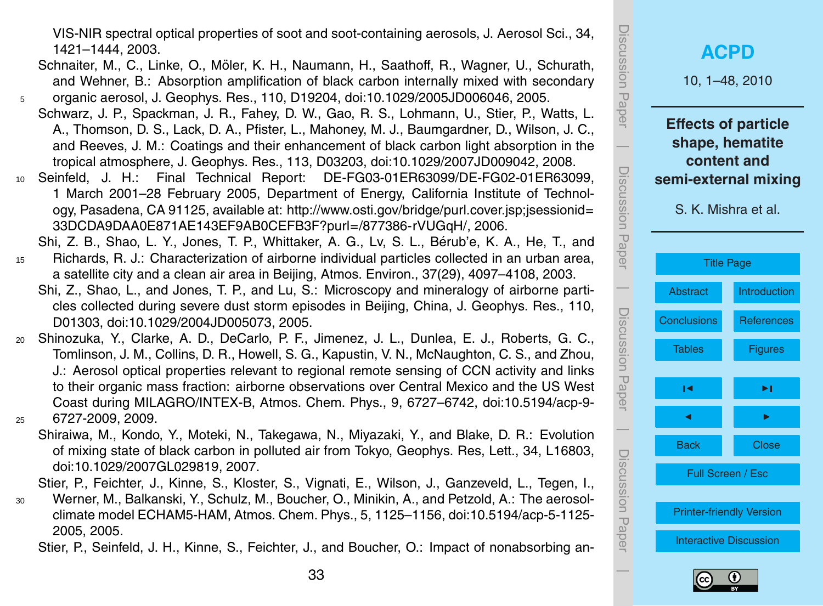VIS-NIR spectral optical properties of soot and soot-containing aerosols, J. Aerosol Sci., 34, 1421–1444, 2003.

- Schnaiter, M., C., Linke, O., Möler, K. H., Naumann, H., Saathoff, R., Wagner, U., Schurath, and Wehner, B.: Absorption amplification of black carbon internally mixed with secondary
- <sup>5</sup> organic aerosol, J. Geophys. Res., 110, D19204, doi:10.1029/2005JD006046, 2005. Schwarz, J. P., Spackman, J. R., Fahey, D. W., Gao, R. S., Lohmann, U., Stier, P., Watts, L. A., Thomson, D. S., Lack, D. A., Pfister, L., Mahoney, M. J., Baumgardner, D., Wilson, J. C., and Reeves, J. M.: Coatings and their enhancement of black carbon light absorption in the tropical atmosphere, J. Geophys. Res., 113, D03203, doi:10.1029/2007JD009042, 2008.
- <sup>10</sup> Seinfeld, J. H.: Final Technical Report: DE-FG03-01ER63099/DE-FG02-01ER63099, 1 March 2001–28 February 2005, Department of Energy, California Institute of Technology, Pasadena, CA 91125, available at: [http://www.osti.gov/bridge/purl.cover.jsp;jsessionid](http://www.osti.gov/bridge/purl.cover.jsp;jsessionid=33DCDA9DAA0E871AE143EF9AB0CEFB3F?purl=/877386-rVUGqH/)= [33DCDA9DAA0E871AE143EF9AB0CEFB3F?purl](http://www.osti.gov/bridge/purl.cover.jsp;jsessionid=33DCDA9DAA0E871AE143EF9AB0CEFB3F?purl=/877386-rVUGqH/)=/877386-rVUGqH/, 2006.

Shi, Z. B., Shao, L. Y., Jones, T. P., Whittaker, A. G., Lv, S. L., Bérub'e, K. A., He, T., and

- <sup>15</sup> Richards, R. J.: Characterization of airborne individual particles collected in an urban area, a satellite city and a clean air area in Beijing, Atmos. Environ., 37(29), 4097–4108, 2003.
	- Shi, Z., Shao, L., and Jones, T. P., and Lu, S.: Microscopy and mineralogy of airborne particles collected during severe dust storm episodes in Beijing, China, J. Geophys. Res., 110, D01303, doi:10.1029/2004JD005073, 2005.
- <sup>20</sup> Shinozuka, Y., Clarke, A. D., DeCarlo, P. F., Jimenez, J. L., Dunlea, E. J., Roberts, G. C., Tomlinson, J. M., Collins, D. R., Howell, S. G., Kapustin, V. N., McNaughton, C. S., and Zhou, J.: Aerosol optical properties relevant to regional remote sensing of CCN activity and links to their organic mass fraction: airborne observations over Central Mexico and the US West Coast during MILAGRO/INTEX-B, Atmos. Chem. Phys., 9, 6727–6742, doi:10.5194/acp-9- <sup>25</sup> 6727-2009, 2009.
	- Shiraiwa, M., Kondo, Y., Moteki, N., Takegawa, N., Miyazaki, Y., and Blake, D. R.: Evolution of mixing state of black carbon in polluted air from Tokyo, Geophys. Res, Lett., 34, L16803, doi:10.1029/2007GL029819, 2007.

Stier, P., Feichter, J., Kinne, S., Kloster, S., Vignati, E., Wilson, J., Ganzeveld, L., Tegen, I.,

<sup>30</sup> Werner, M., Balkanski, Y., Schulz, M., Boucher, O., Minikin, A., and Petzold, A.: The aerosolclimate model ECHAM5-HAM, Atmos. Chem. Phys., 5, 1125–1156, doi:10.5194/acp-5-1125- 2005, 2005.

Stier, P., Seinfeld, J. H., Kinne, S., Feichter, J., and Boucher, O.: Impact of nonabsorbing an-



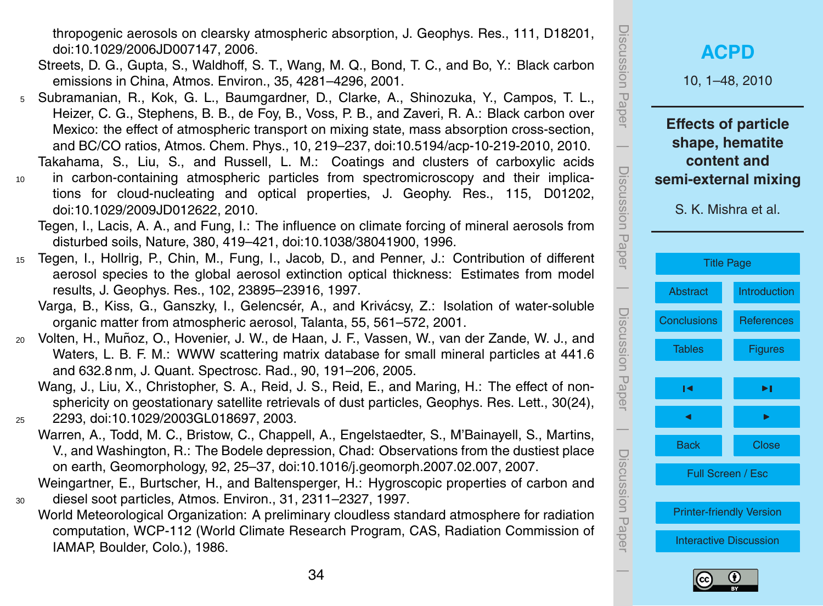thropogenic aerosols on clearsky atmospheric absorption, J. Geophys. Res., 111, D18201, doi:10.1029/2006JD007147, 2006.

Streets, D. G., Gupta, S., Waldhoff, S. T., Wang, M. Q., Bond, T. C., and Bo, Y.: Black carbon emissions in China, Atmos. Environ., 35, 4281–4296, 2001.

- <sup>5</sup> Subramanian, R., Kok, G. L., Baumgardner, D., Clarke, A., Shinozuka, Y., Campos, T. L., Heizer, C. G., Stephens, B. B., de Foy, B., Voss, P. B., and Zaveri, R. A.: Black carbon over Mexico: the effect of atmospheric transport on mixing state, mass absorption cross-section, and BC/CO ratios, Atmos. Chem. Phys., 10, 219–237, doi:10.5194/acp-10-219-2010, 2010.
- Takahama, S., Liu, S., and Russell, L. M.: Coatings and clusters of carboxylic acids <sup>10</sup> in carbon-containing atmospheric particles from spectromicroscopy and their implica-
- tions for cloud-nucleating and optical properties, J. Geophy. Res., 115, D01202, doi:10.1029/2009JD012622, 2010.

Tegen, I., Lacis, A. A., and Fung, I.: The influence on climate forcing of mineral aerosols from disturbed soils, Nature, 380, 419–421, doi:10.1038/38041900, 1996.

<sup>15</sup> Tegen, I., Hollrig, P., Chin, M., Fung, I., Jacob, D., and Penner, J.: Contribution of different aerosol species to the global aerosol extinction optical thickness: Estimates from model results, J. Geophys. Res., 102, 23895–23916, 1997.

Varga, B., Kiss, G., Ganszky, I., Gelencsér, A., and Krivácsy, Z.: Isolation of water-soluble organic matter from atmospheric aerosol, Talanta, 55, 561–572, 2001.

- <sup>20</sup> Volten, H., Munoz, O., Hovenier, J. W., de Haan, J. F., Vassen, W., van der Zande, W. J., and ˜ Waters, L. B. F. M.: WWW scattering matrix database for small mineral particles at 441.6 and 632.8 nm, J. Quant. Spectrosc. Rad., 90, 191–206, 2005.
- Wang, J., Liu, X., Christopher, S. A., Reid, J. S., Reid, E., and Maring, H.: The effect of nonsphericity on geostationary satellite retrievals of dust particles, Geophys. Res. Lett., 30(24), <sup>25</sup> 2293, doi:10.1029/2003GL018697, 2003.
	- Warren, A., Todd, M. C., Bristow, C., Chappell, A., Engelstaedter, S., M'Bainayell, S., Martins, V., and Washington, R.: The Bodele depression, Chad: Observations from the dustiest place on earth, Geomorphology, 92, 25–37, doi:10.1016/j.geomorph.2007.02.007, 2007.
- Weingartner, E., Burtscher, H., and Baltensperger, H.: Hygroscopic properties of carbon and <sup>30</sup> diesel soot particles, Atmos. Environ., 31, 2311–2327, 1997.
- World Meteorological Organization: A preliminary cloudless standard atmosphere for radiation computation, WCP-112 (World Climate Research Program, CAS, Radiation Commission of IAMAP, Boulder, Colo.), 1986.



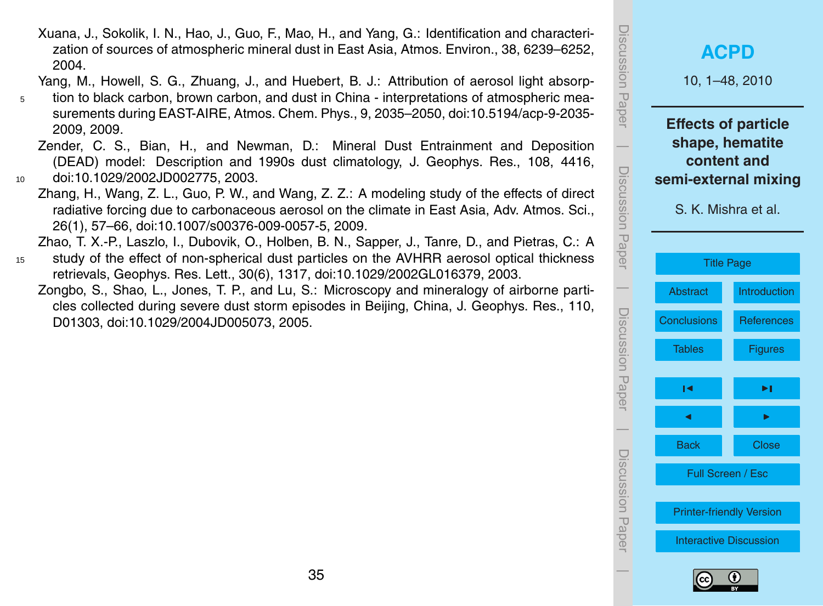Xuana, J., Sokolik, I. N., Hao, J., Guo, F., Mao, H., and Yang, G.: Identification and characterization of sources of atmospheric mineral dust in East Asia, Atmos. Environ., 38, 6239–6252, 2004.

Yang, M., Howell, S. G., Zhuang, J., and Huebert, B. J.: Attribution of aerosol light absorp-

- <sup>5</sup> tion to black carbon, brown carbon, and dust in China interpretations of atmospheric measurements during EAST-AIRE, Atmos. Chem. Phys., 9, 2035–2050, doi:10.5194/acp-9-2035- 2009, 2009.
- Zender, C. S., Bian, H., and Newman, D.: Mineral Dust Entrainment and Deposition (DEAD) model: Description and 1990s dust climatology, J. Geophys. Res., 108, 4416, <sup>10</sup> doi:10.1029/2002JD002775, 2003.
	- Zhang, H., Wang, Z. L., Guo, P. W., and Wang, Z. Z.: A modeling study of the effects of direct radiative forcing due to carbonaceous aerosol on the climate in East Asia, Adv. Atmos. Sci., 26(1), 57–66, doi:10.1007/s00376-009-0057-5, 2009.

Zhao, T. X.-P., Laszlo, I., Dubovik, O., Holben, B. N., Sapper, J., Tanre, D., and Pietras, C.: A

- <sup>15</sup> study of the effect of non-spherical dust particles on the AVHRR aerosol optical thickness retrievals, Geophys. Res. Lett., 30(6), 1317, doi:10.1029/2002GL016379, 2003.
	- Zongbo, S., Shao, L., Jones, T. P., and Lu, S.: Microscopy and mineralogy of airborne particles collected during severe dust storm episodes in Beijing, China, J. Geophys. Res., 110, D01303, doi:10.1029/2004JD005073, 2005.



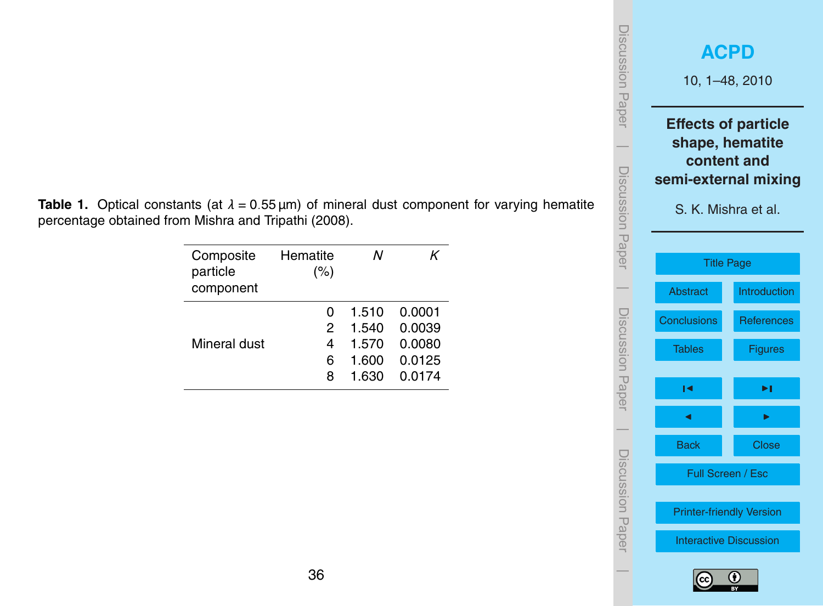| <b>ISCUSSION Paper</b> | <b>ACPD</b><br>10, 1-48, 2010                                                                               |                     |  |
|------------------------|-------------------------------------------------------------------------------------------------------------|---------------------|--|
| Discussion Paper       | <b>Effects of particle</b><br>shape, hematite<br>content and<br>semi-external mixing<br>S. K. Mishra et al. |                     |  |
|                        | <b>Title Page</b>                                                                                           |                     |  |
|                        | <b>Abstract</b>                                                                                             | <b>Introduction</b> |  |
|                        | <b>Conclusions</b>                                                                                          | References          |  |
| Discussion Papel       | <b>Tables</b>                                                                                               | <b>Figures</b>      |  |
|                        | м                                                                                                           | ▸∣                  |  |
|                        | ◀                                                                                                           |                     |  |
|                        | <b>Back</b>                                                                                                 | <b>Close</b>        |  |
| Discussion Papel       | Full Screen / Esc                                                                                           |                     |  |
|                        | <b>Printer-friendly Version</b>                                                                             |                     |  |
|                        | <b>Interactive Discussion</b>                                                                               |                     |  |
|                        |                                                                                                             |                     |  |



<span id="page-35-0"></span>**Table 1.** Optical constants (at *λ* = 0*.*55 µm) of mineral dust component for varying hematite percentage obtained from Mishra and Tripathi (2008).

| Composite<br>particle<br>component | Hematite<br>(% ) | N     |        |
|------------------------------------|------------------|-------|--------|
|                                    | O                | 1.510 | 0.0001 |
|                                    | 2                | 1.540 | 0.0039 |
| Mineral dust                       | 4                | 1.570 | 0.0080 |
|                                    | 6                | 1.600 | 0.0125 |
|                                    | 8                | 1 630 | 0.0174 |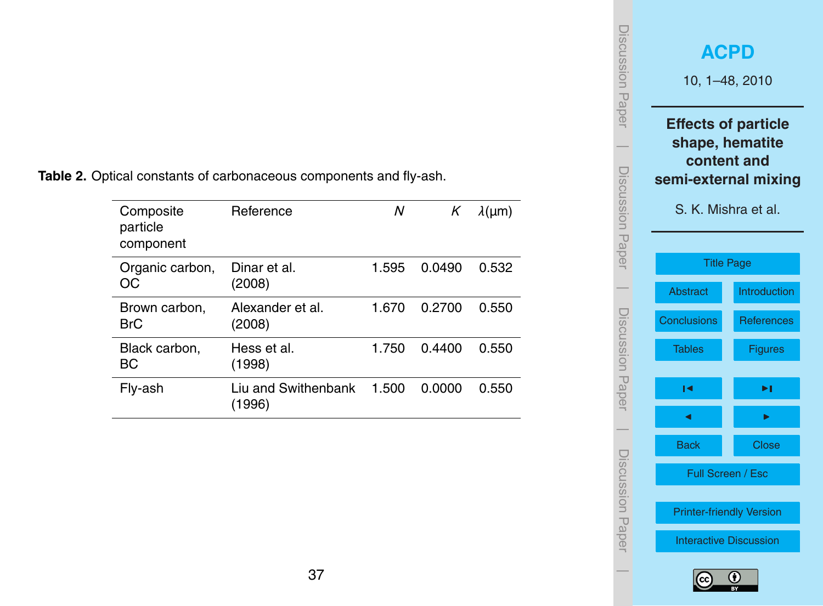**Table 2.** Optical constants of carbonaceous components and fly-ash.

| Composite<br>particle<br>component | Reference                     | Ν     | К      | $\lambda(\mu m)$ |
|------------------------------------|-------------------------------|-------|--------|------------------|
| Organic carbon,<br>OС              | Dinar et al.<br>(2008)        | 1.595 | 0.0490 | 0.532            |
| Brown carbon,<br>BrC               | Alexander et al.<br>(2008)    | 1.670 | 0.2700 | 0.550            |
| Black carbon,<br>BC.               | Hess et al.<br>(1998)         | 1.750 | 0.4400 | 0.550            |
| Fly-ash                            | Liu and Swithenbank<br>(1996) | 1.500 | 0.0000 | 0.550            |



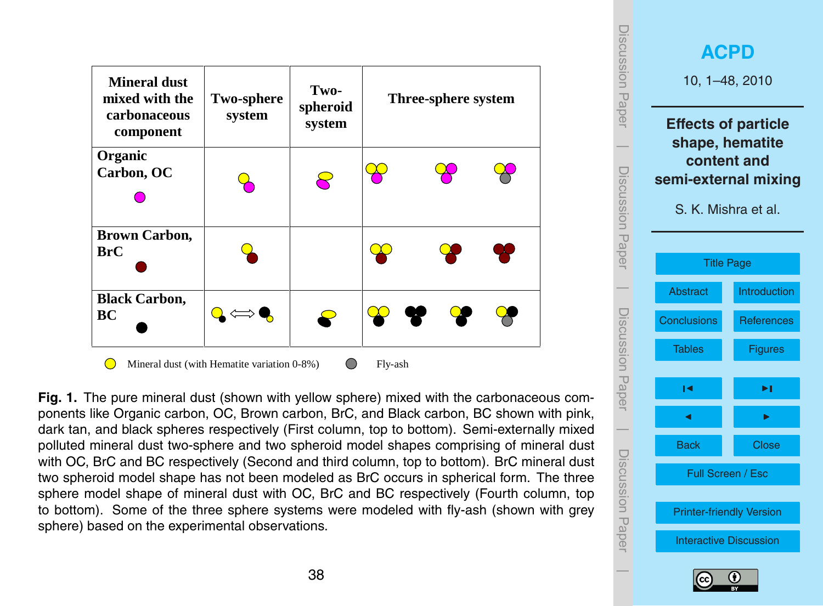<span id="page-37-0"></span>

| <b>Mineral dust</b><br>mixed with the<br>carbonaceous<br>component | <b>Two-sphere</b><br>system | Two-<br>spheroid<br>system | Three-sphere system |  |  |
|--------------------------------------------------------------------|-----------------------------|----------------------------|---------------------|--|--|
| Organic                                                            |                             |                            |                     |  |  |
| Carbon, OC                                                         |                             |                            |                     |  |  |
| <b>Brown Carbon,</b><br>BrC                                        |                             |                            |                     |  |  |
| <b>Black Carbon,</b><br>BC                                         |                             |                            |                     |  |  |

 $1 - T$ Fig. 1. The pure mineral dust (shown with yellow sphere) mixed with the carbonaceous components like Organic carbon, OC, Brown carbon, BrC, and Black carbon, BC shown with pink, dark tan, and black spheres respectively (First column, top to bottom). Semi-externally mixed  $11.77$ polluted mineral dust two-sphere and two spheroid model shapes comprising of mineral dust with OC, BrC and BC respectively (Second and third column, top to bottom). BrC mineral dust two spheroid model shape has not been modeled as BrC occurs in spherical form. The three  $\overline{1}$ sphere model shape of mineral dust with OC, BrC and BC respectively (Fourth column, top to bottom). Some of the three sphere systems were modeled with fly-ash (shown with grey sphere) based on the experimental observations. 1125



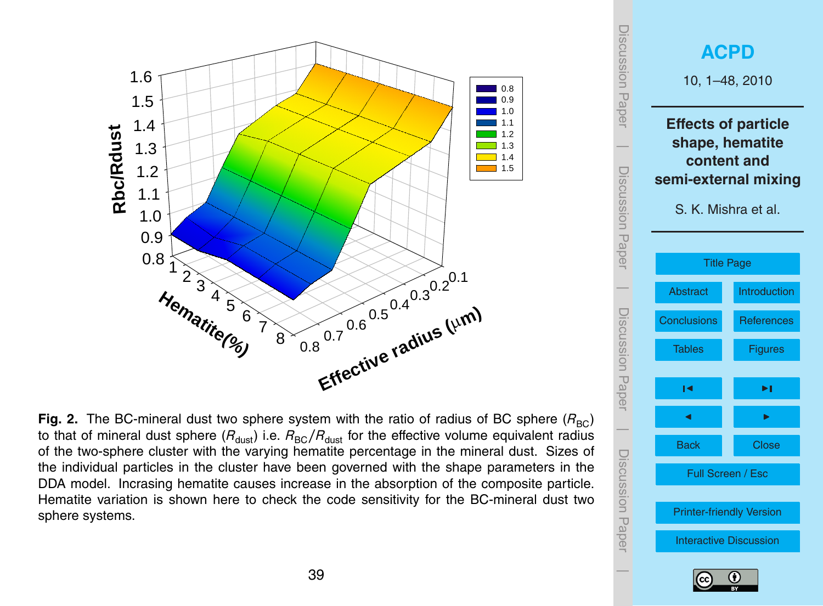

Fig. 2. The BC-mineral dust two sphere system with the ratio of radius of BC sphere ( $R_{BC}$ ) to that of mineral dust sphere ( $R_{\text{dust}}$ ) i.e.  $R_{\text{BC}}/R_{\text{dust}}$  for the effective volume equivalent radius  $10$ -cnhoi of the two-sphere cluster with the varying hematite percentage in the mineral dust. Sizes of the individual particles in the cluster have been governed with the shape parameters in the DDA model. Incrasing hematite causes increase in the absorption of the composite particle. Hematite variation is shown here to check the code sensitivity for the BC-mineral dust two nomalite vanalit



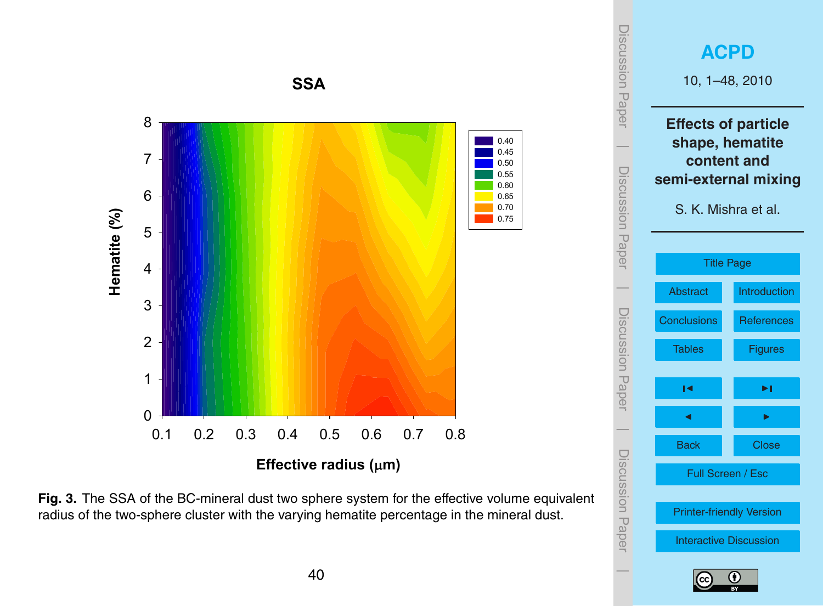







40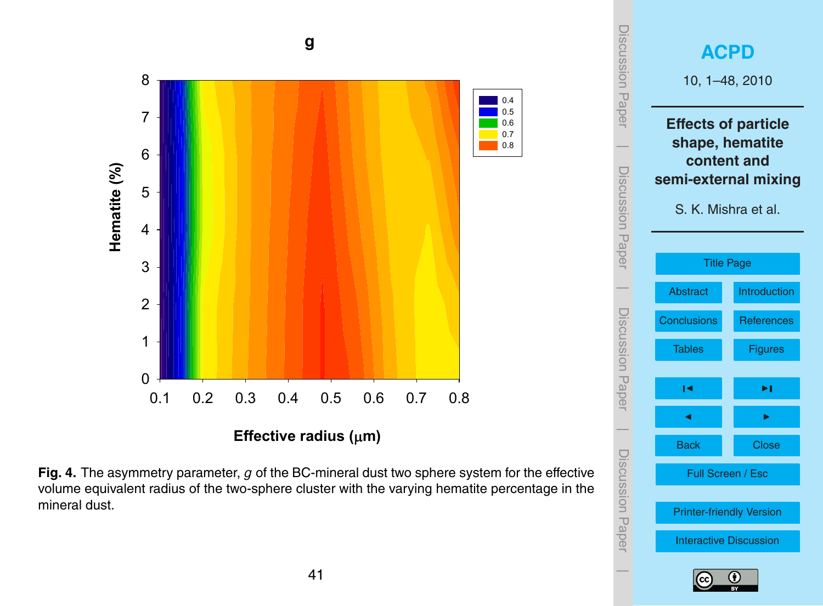





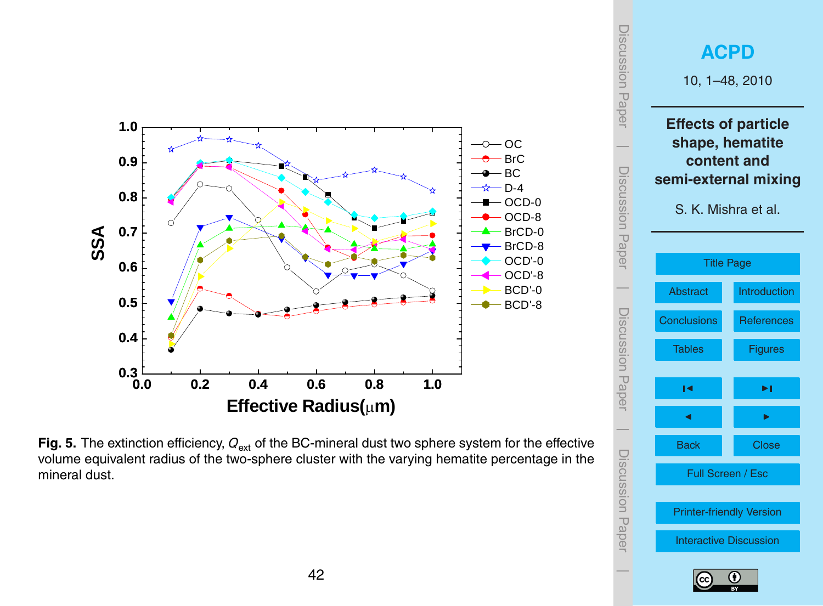

Fig. 5. The extinction efficiency,  $Q_{\text{ext}}$  of the BC-mineral dust two sphere system for the effective volume equivalent radius of the two-sphere cluster with the varying hematite percentage in the mineral dust.

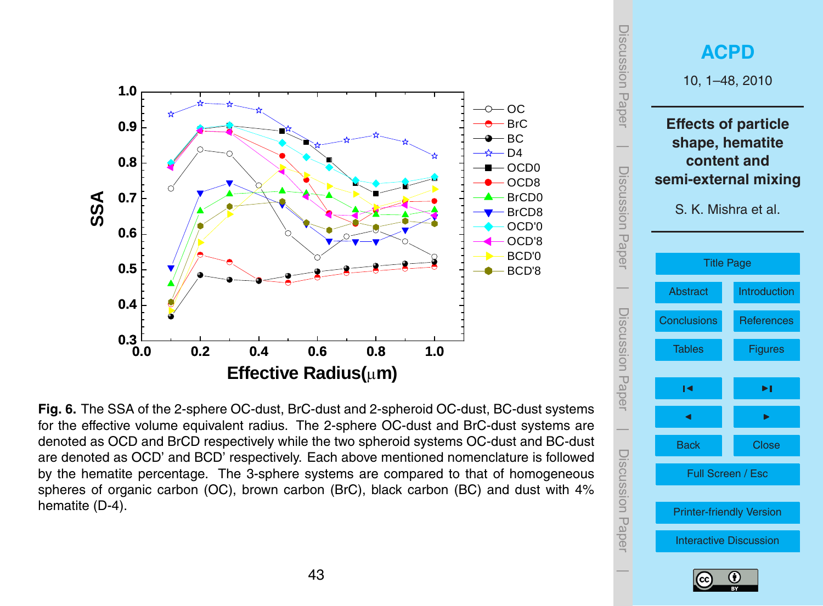

Fig. 6. The SSA of the 2-sphere OC-dust, BrC-dust and 2-spheroid OC-dust, BC-dust systems Fig. 6. The box of the 2 sphere of dust, bio dust and 2 sphereties of dust, bo dust systems are for the effective volume equivalent radius. The 2-sphere OC-dust and BrC-dust systems are 1317 denoted as OCD and BrCD respectively while the two spheroid systems OC-dust and BC-dust are denoted as OCD' and BCD' respectively. Each above mentioned nomenclature is followed by the hematite percentage. The 3-sphere systems are compared to that of homogeneous spheres of organic carbon (OC), brown carbon (BrC), black carbon (BC) and dust with 4% hematite (D-4).



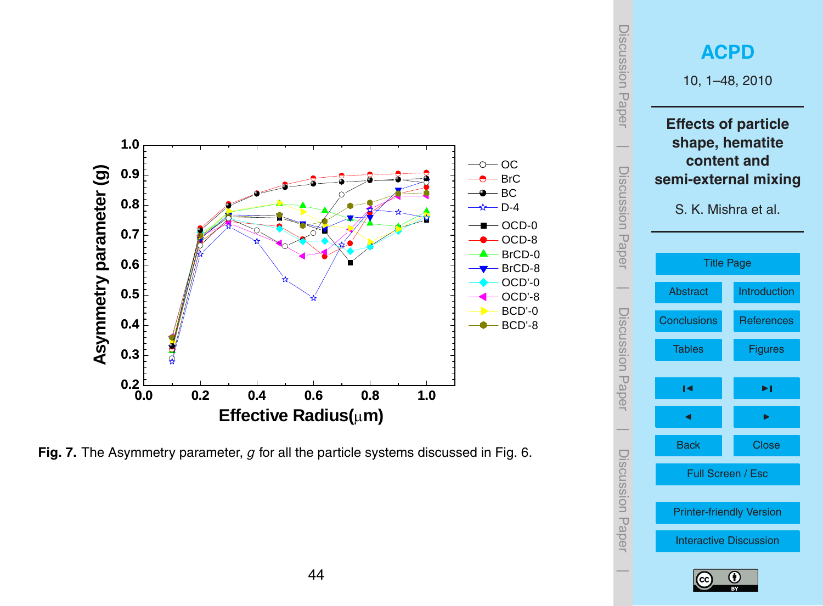

**Fig. 7.** The Asymmetry parameter, *g* for all the particle systems discussed in Fig. 6.



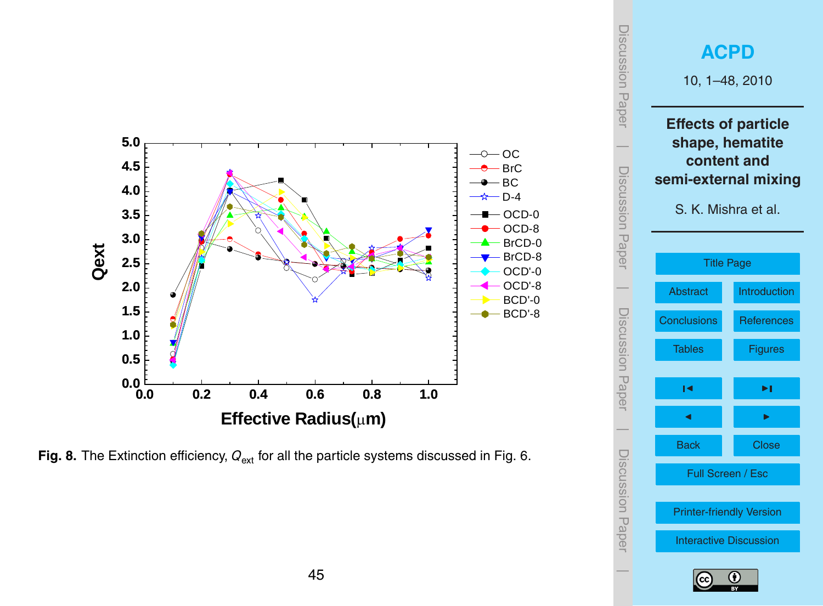

**Fig. 8.** The Extinction efficiency,  $Q_{\text{ext}}$  for all the particle systems discussed in Fig. 6.



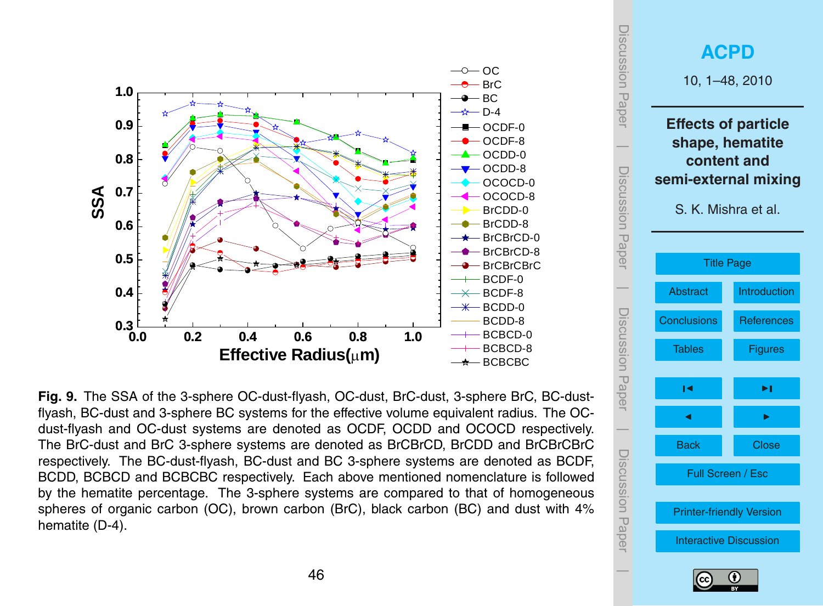

**Fig. 9.** The SSA of the 3-sphere OC-dust-flyash, OC-dust, BrC-dust, 3-sphere BrC, BC-dustflyash, BC-dust and 3-sphere BC systems for the effective volume equivalent radius. The OCdust-flyash and OC-dust systems are denoted as OCDF, OCDD and OCOCD respectively. The BrC-dust and BrC 3-sphere systems are denoted as BrCBrCD, BrCDD and BrCBrCBrC respectively. The BC-dust-flyash, BC-dust and BC 3-sphere systems are denoted as BCDF, BCDD, BCBCD and BCBCBC respectively. Each above mentioned nomenclature is followed by the hematite percentage. The 3-sphere systems are compared to that of homogeneous spheres of organic carbon (OC), brown carbon (BrC), black carbon (BC) and dust with 4% hematite (D-4).



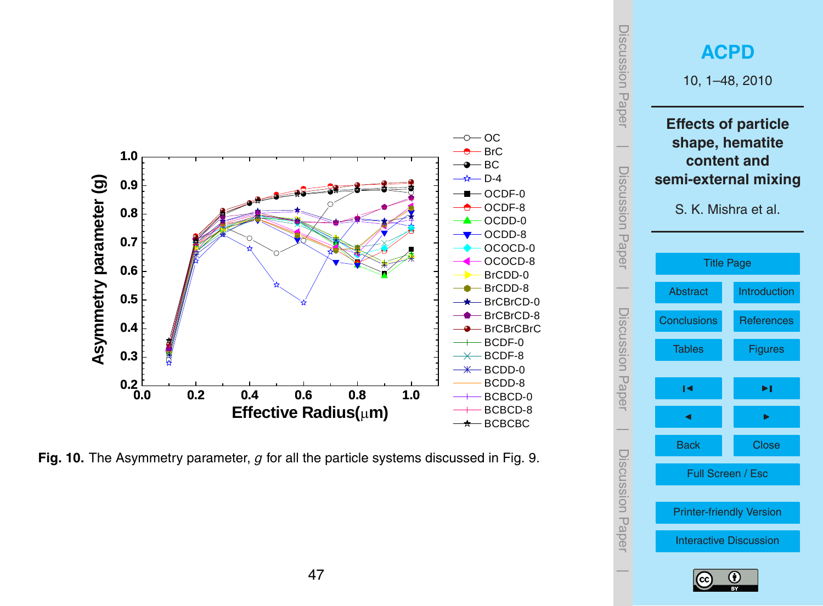

**Fig. 10.** The Asymmetry parameter, *g* for all the particle systems discussed in Fig. 9.